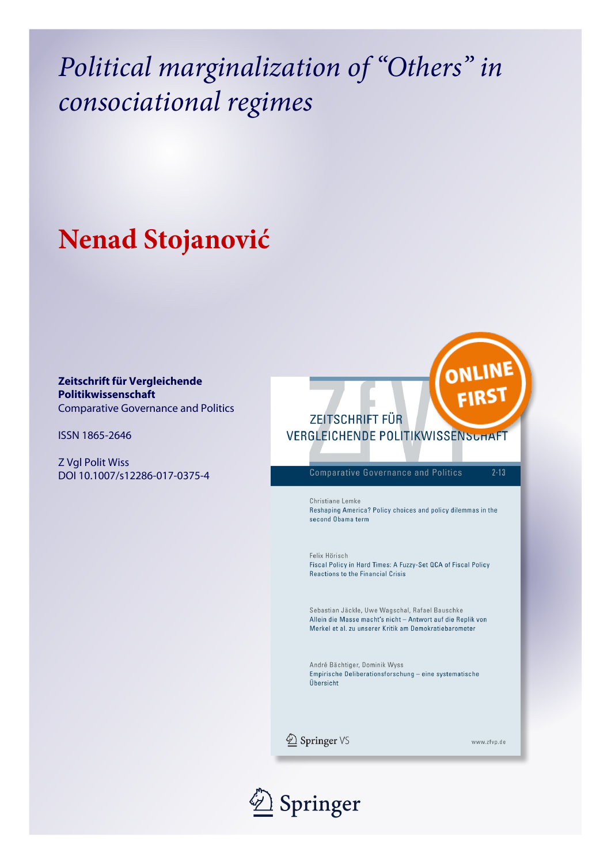# *Political marginalization of "Others" in consociational regimes*

## **Nenad Stojanović**

#### **Zeitschrift für Vergleichende Politikwissenschaft** Comparative Governance and Politics

ISSN 1865-2646

Z Vgl Polit Wiss DOI 10.1007/s12286-017-0375-4



#### **Comparative Governance and Politics**

Christiane Lemke Reshaping America? Policy choices and policy dilemmas in the second Obama term

Felix Hörisch Fiscal Policy in Hard Times: A Fuzzy-Set QCA of Fiscal Policy **Reactions to the Financial Crisis** 

Sebastian Jäckle, Uwe Wagschal, Rafael Bauschke Allein die Masse macht's nicht - Antwort auf die Replik von Merkel et al. zu unserer Kritik am Demokratiebarometer

André Bächtiger, Dominik Wyss Empirische Deliberationsforschung - eine systematische Übersicht

2 Springer VS

www.zfvn.de

 $2.13$ 

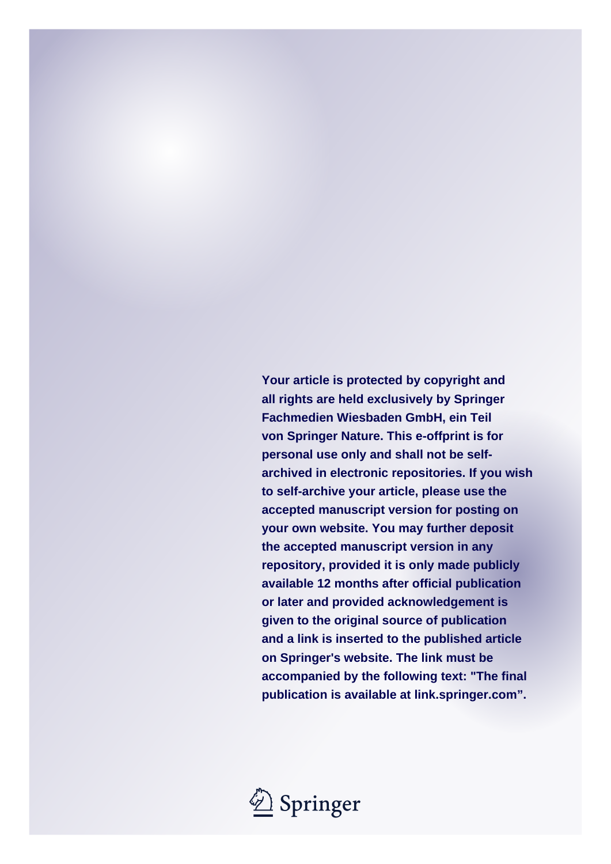**Your article is protected by copyright and all rights are held exclusively by Springer Fachmedien Wiesbaden GmbH, ein Teil von Springer Nature. This e-offprint is for personal use only and shall not be selfarchived in electronic repositories. If you wish to self-archive your article, please use the accepted manuscript version for posting on your own website. You may further deposit the accepted manuscript version in any repository, provided it is only made publicly available 12 months after official publication or later and provided acknowledgement is given to the original source of publication and a link is inserted to the published article on Springer's website. The link must be accompanied by the following text: "The final publication is available at link.springer.com".**

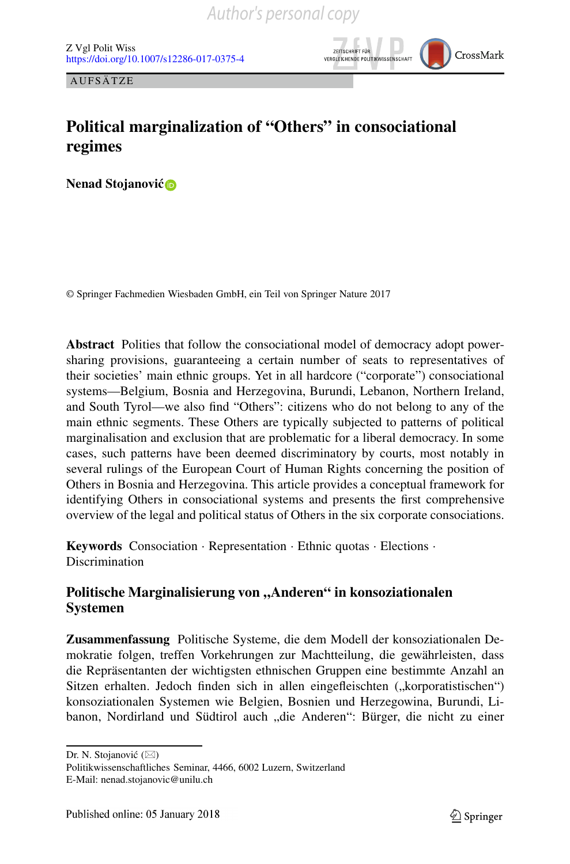ZEITSCHRIFT FÜR CrossMark VERGLEICHENDE POLITIKWISSENSCHAFT

AUFSÄTZE

### **Political marginalization of "Others" in consociational regimes**

**Nenad Stojanovic´**

© Springer Fachmedien Wiesbaden GmbH, ein Teil von Springer Nature 2017

**Abstract** Polities that follow the consociational model of democracy adopt powersharing provisions, guaranteeing a certain number of seats to representatives of their societies' main ethnic groups. Yet in all hardcore ("corporate") consociational systems—Belgium, Bosnia and Herzegovina, Burundi, Lebanon, Northern Ireland, and South Tyrol—we also find "Others": citizens who do not belong to any of the main ethnic segments. These Others are typically subjected to patterns of political marginalisation and exclusion that are problematic for a liberal democracy. In some cases, such patterns have been deemed discriminatory by courts, most notably in several rulings of the European Court of Human Rights concerning the position of Others in Bosnia and Herzegovina. This article provides a conceptual framework for identifying Others in consociational systems and presents the first comprehensive overview of the legal and political status of Others in the six corporate consociations.

**Keywords** Consociation · Representation · Ethnic quotas · Elections · Discrimination

#### Politische Marginalisierung von "Anderen" in konsoziationalen **Systemen**

**Zusammenfassung** Politische Systeme, die dem Modell der konsoziationalen Demokratie folgen, treffen Vorkehrungen zur Machtteilung, die gewährleisten, dass die Repräsentanten der wichtigsten ethnischen Gruppen eine bestimmte Anzahl an Sitzen erhalten. Jedoch finden sich in allen eingefleischten ("korporatistischen") konsoziationalen Systemen wie Belgien, Bosnien und Herzegowina, Burundi, Libanon, Nordirland und Südtirol auch "die Anderen": Bürger, die nicht zu einer

Dr. N. Stojanović  $(\boxtimes)$ 

Politikwissenschaftliches Seminar, 4466, 6002 Luzern, Switzerland E-Mail: nenad.stojanovic@unilu.ch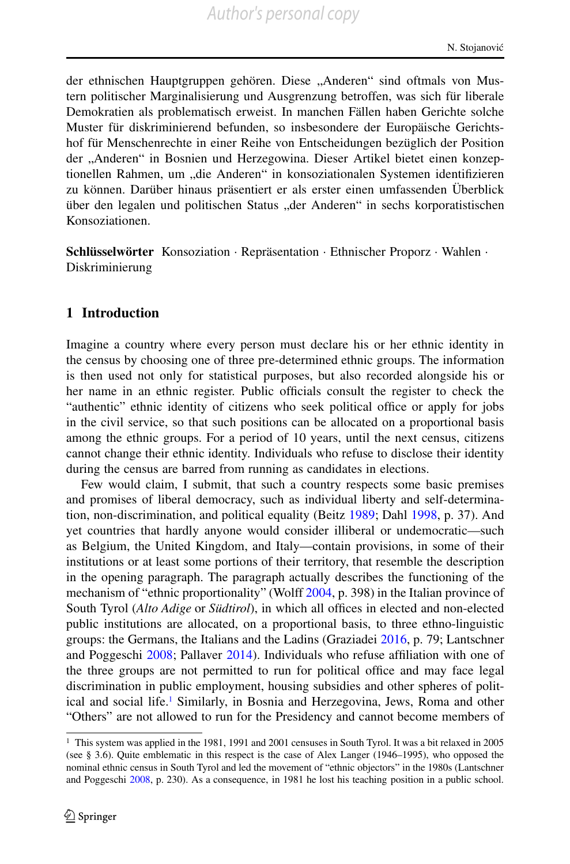der ethnischen Hauptgruppen gehören. Diese "Anderen" sind oftmals von Mustern politischer Marginalisierung und Ausgrenzung betroffen, was sich für liberale Demokratien als problematisch erweist. In manchen Fällen haben Gerichte solche Muster für diskriminierend befunden, so insbesondere der Europäische Gerichtshof für Menschenrechte in einer Reihe von Entscheidungen bezüglich der Position der "Anderen" in Bosnien und Herzegowina. Dieser Artikel bietet einen konzeptionellen Rahmen, um "die Anderen" in konsoziationalen Systemen identifizieren zu können. Darüber hinaus präsentiert er als erster einen umfassenden Überblick über den legalen und politischen Status "der Anderen" in sechs korporatistischen Konsoziationen.

**Schlüsselwörter** Konsoziation · Repräsentation · Ethnischer Proporz · Wahlen · Diskriminierung

#### **1 Introduction**

Imagine a country where every person must declare his or her ethnic identity in the census by choosing one of three pre-determined ethnic groups. The information is then used not only for statistical purposes, but also recorded alongside his or her name in an ethnic register. Public officials consult the register to check the "authentic" ethnic identity of citizens who seek political office or apply for jobs in the civil service, so that such positions can be allocated on a proportional basis among the ethnic groups. For a period of 10 years, until the next census, citizens cannot change their ethnic identity. Individuals who refuse to disclose their identity during the census are barred from running as candidates in elections.

Few would claim, I submit, that such a country respects some basic premises and promises of liberal democracy, such as individual liberty and self-determination, non-discrimination, and political equality (Beitz [1989;](#page-23-0) Dahl [1998,](#page-23-1) p. 37). And yet countries that hardly anyone would consider illiberal or undemocratic—such as Belgium, the United Kingdom, and Italy—contain provisions, in some of their institutions or at least some portions of their territory, that resemble the description in the opening paragraph. The paragraph actually describes the functioning of the mechanism of "ethnic proportionality" (Wolff [2004,](#page-25-0) p. 398) in the Italian province of South Tyrol (*Alto Adige* or *Südtirol*), in which all offices in elected and non-elected public institutions are allocated, on a proportional basis, to three ethno-linguistic groups: the Germans, the Italians and the Ladins (Graziadei [2016,](#page-23-2) p. 79; Lantschner and Poggeschi [2008;](#page-23-3) Pallaver [2014\)](#page-24-0). Individuals who refuse affiliation with one of the three groups are not permitted to run for political office and may face legal discrimination in public employment, housing subsidies and other spheres of political and social life[.1](#page-3-0) Similarly, in Bosnia and Herzegovina, Jews, Roma and other "Others" are not allowed to run for the Presidency and cannot become members of

<span id="page-3-0"></span><sup>1</sup> This system was applied in the 1981, 1991 and 2001 censuses in South Tyrol. It was a bit relaxed in 2005 (see § 3.6). Quite emblematic in this respect is the case of Alex Langer (1946–1995), who opposed the nominal ethnic census in South Tyrol and led the movement of "ethnic objectors" in the 1980s (Lantschner and Poggeschi [2008,](#page-23-3) p. 230). As a consequence, in 1981 he lost his teaching position in a public school.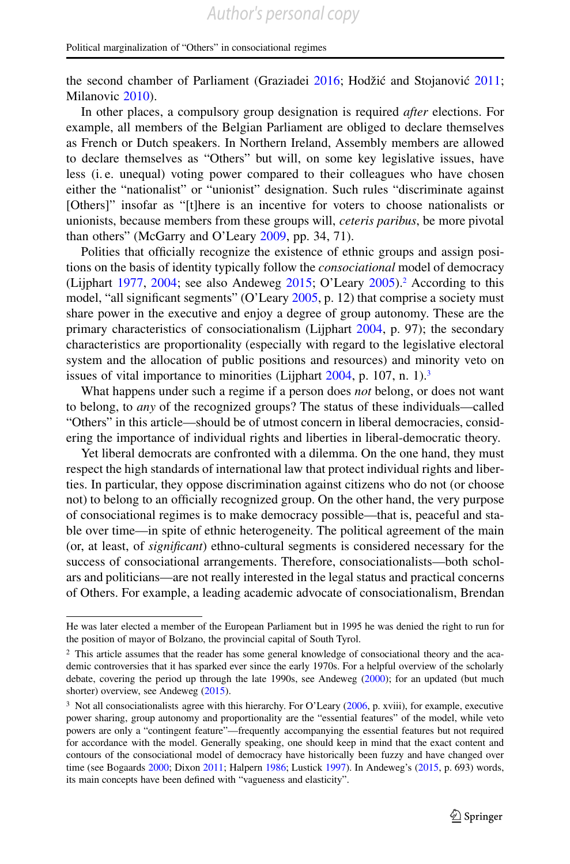the second chamber of Parliament (Graziadei  $2016$ ; Hodžić and Stojanović  $2011$ ; Milanovic [2010\)](#page-24-1).

In other places, a compulsory group designation is required *after* elections. For example, all members of the Belgian Parliament are obliged to declare themselves as French or Dutch speakers. In Northern Ireland, Assembly members are allowed to declare themselves as "Others" but will, on some key legislative issues, have less (i. e. unequal) voting power compared to their colleagues who have chosen either the "nationalist" or "unionist" designation. Such rules "discriminate against [Others]" insofar as "[t]here is an incentive for voters to choose nationalists or unionists, because members from these groups will, *ceteris paribus*, be more pivotal than others" (McGarry and O'Leary [2009,](#page-24-2) pp. 34, 71).

Polities that officially recognize the existence of ethnic groups and assign positions on the basis of identity typically follow the *consociational* model of democracy (Lijphart [1977,](#page-23-5) [2004;](#page-23-6) see also Andeweg [2015;](#page-23-7) O'Leary [2005\)](#page-24-3).<sup>2</sup> According to this model, "all significant segments" (O'Leary [2005,](#page-24-3) p. 12) that comprise a society must share power in the executive and enjoy a degree of group autonomy. These are the primary characteristics of consociationalism (Lijphart [2004,](#page-23-6) p. 97); the secondary characteristics are proportionality (especially with regard to the legislative electoral system and the allocation of public positions and resources) and minority veto on issues of vital importance to minorities (Lijphart [2004,](#page-23-6) p. 107, n. 1).<sup>3</sup>

What happens under such a regime if a person does *not* belong, or does not want to belong, to *any* of the recognized groups? The status of these individuals—called "Others" in this article—should be of utmost concern in liberal democracies, considering the importance of individual rights and liberties in liberal-democratic theory.

Yet liberal democrats are confronted with a dilemma. On the one hand, they must respect the high standards of international law that protect individual rights and liberties. In particular, they oppose discrimination against citizens who do not (or choose not) to belong to an officially recognized group. On the other hand, the very purpose of consociational regimes is to make democracy possible—that is, peaceful and stable over time—in spite of ethnic heterogeneity. The political agreement of the main (or, at least, of *significant*) ethno-cultural segments is considered necessary for the success of consociational arrangements. Therefore, consociationalists—both scholars and politicians—are not really interested in the legal status and practical concerns of Others. For example, a leading academic advocate of consociationalism, Brendan

<span id="page-4-0"></span>He was later elected a member of the European Parliament but in 1995 he was denied the right to run for the position of mayor of Bolzano, the provincial capital of South Tyrol.

<sup>2</sup> This article assumes that the reader has some general knowledge of consociational theory and the academic controversies that it has sparked ever since the early 1970s. For a helpful overview of the scholarly debate, covering the period up through the late 1990s, see Andeweg [\(2000\)](#page-23-8); for an updated (but much shorter) overview, see Andeweg [\(2015\)](#page-23-7).

<span id="page-4-1"></span><sup>3</sup> Not all consociationalists agree with this hierarchy. For O'Leary [\(2006,](#page-24-4) p. xviii), for example, executive power sharing, group autonomy and proportionality are the "essential features" of the model, while veto powers are only a "contingent feature"—frequently accompanying the essential features but not required for accordance with the model. Generally speaking, one should keep in mind that the exact content and contours of the consociational model of democracy have historically been fuzzy and have changed over time (see Bogaards [2000;](#page-23-9) Dixon [2011;](#page-23-10) Halpern [1986;](#page-23-11) Lustick [1997\)](#page-24-5). In Andeweg's [\(2015,](#page-23-7) p. 693) words, its main concepts have been defined with "vagueness and elasticity".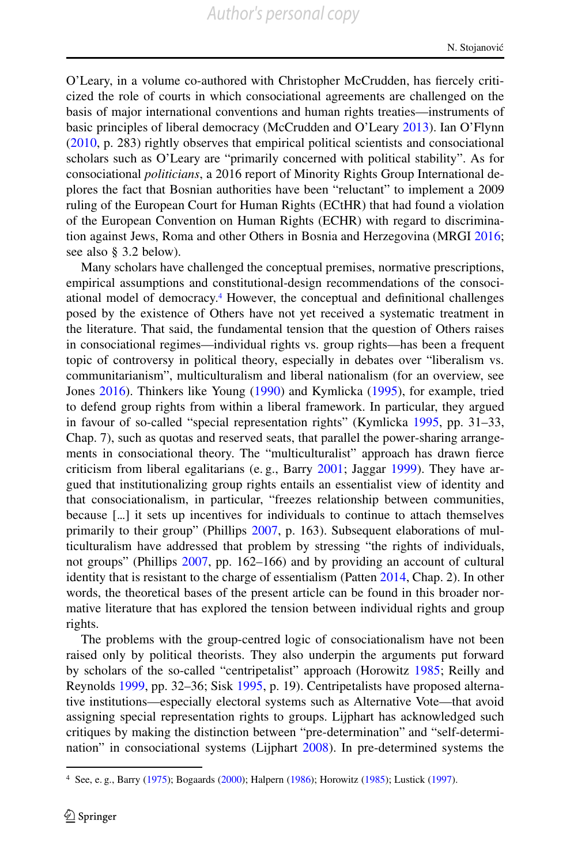O'Leary, in a volume co-authored with Christopher McCrudden, has fiercely criticized the role of courts in which consociational agreements are challenged on the basis of major international conventions and human rights treaties—instruments of basic principles of liberal democracy (McCrudden and O'Leary [2013\)](#page-24-6). Ian O'Flynn [\(2010,](#page-24-7) p. 283) rightly observes that empirical political scientists and consociational scholars such as O'Leary are "primarily concerned with political stability". As for consociational *politicians*, a 2016 report of Minority Rights Group International deplores the fact that Bosnian authorities have been "reluctant" to implement a 2009 ruling of the European Court for Human Rights (ECtHR) that had found a violation of the European Convention on Human Rights (ECHR) with regard to discrimination against Jews, Roma and other Others in Bosnia and Herzegovina (MRGI [2016;](#page-24-8) see also § 3.2 below).

Many scholars have challenged the conceptual premises, normative prescriptions, empirical assumptions and constitutional-design recommendations of the consociational model of democracy[.4](#page-5-0) However, the conceptual and definitional challenges posed by the existence of Others have not yet received a systematic treatment in the literature. That said, the fundamental tension that the question of Others raises in consociational regimes—individual rights vs. group rights—has been a frequent topic of controversy in political theory, especially in debates over "liberalism vs. communitarianism", multiculturalism and liberal nationalism (for an overview, see Jones [2016\)](#page-23-12). Thinkers like Young [\(1990\)](#page-25-1) and Kymlicka [\(1995\)](#page-23-13), for example, tried to defend group rights from within a liberal framework. In particular, they argued in favour of so-called "special representation rights" (Kymlicka [1995,](#page-23-13) pp. 31–33, Chap. 7), such as quotas and reserved seats, that parallel the power-sharing arrangements in consociational theory. The "multiculturalist" approach has drawn fierce criticism from liberal egalitarians (e. g., Barry [2001;](#page-23-14) Jaggar [1999\)](#page-23-15). They have argued that institutionalizing group rights entails an essentialist view of identity and that consociationalism, in particular, "freezes relationship between communities, because [...] it sets up incentives for individuals to continue to attach themselves primarily to their group" (Phillips [2007,](#page-24-9) p. 163). Subsequent elaborations of multiculturalism have addressed that problem by stressing "the rights of individuals, not groups" (Phillips [2007,](#page-24-9) pp. 162–166) and by providing an account of cultural identity that is resistant to the charge of essentialism (Patten [2014,](#page-24-10) Chap. 2). In other words, the theoretical bases of the present article can be found in this broader normative literature that has explored the tension between individual rights and group rights.

The problems with the group-centred logic of consociationalism have not been raised only by political theorists. They also underpin the arguments put forward by scholars of the so-called "centripetalist" approach (Horowitz [1985;](#page-23-16) Reilly and Reynolds [1999,](#page-24-11) pp. 32–36; Sisk [1995,](#page-25-2) p. 19). Centripetalists have proposed alternative institutions—especially electoral systems such as Alternative Vote—that avoid assigning special representation rights to groups. Lijphart has acknowledged such critiques by making the distinction between "pre-determination" and "self-determination" in consociational systems (Lijphart [2008\)](#page-24-12). In pre-determined systems the

<span id="page-5-0"></span><sup>4</sup> See, e. g., Barry [\(1975\)](#page-23-17); Bogaards [\(2000\)](#page-23-9); Halpern [\(1986\)](#page-23-11); Horowitz [\(1985\)](#page-23-16); Lustick [\(1997\)](#page-24-5).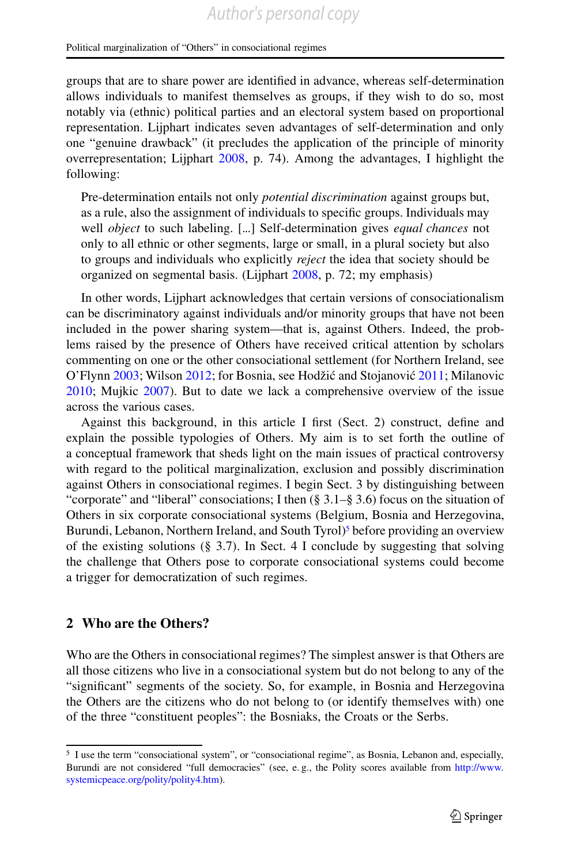groups that are to share power are identified in advance, whereas self-determination allows individuals to manifest themselves as groups, if they wish to do so, most notably via (ethnic) political parties and an electoral system based on proportional representation. Lijphart indicates seven advantages of self-determination and only one "genuine drawback" (it precludes the application of the principle of minority overrepresentation; Lijphart [2008,](#page-24-12) p. 74). Among the advantages, I highlight the following:

Pre-determination entails not only *potential discrimination* against groups but, as a rule, also the assignment of individuals to specific groups. Individuals may well *object* to such labeling. [...] Self-determination gives *equal chances* not only to all ethnic or other segments, large or small, in a plural society but also to groups and individuals who explicitly *reject* the idea that society should be organized on segmental basis. (Lijphart [2008,](#page-24-12) p. 72; my emphasis)

In other words, Lijphart acknowledges that certain versions of consociationalism can be discriminatory against individuals and/or minority groups that have not been included in the power sharing system—that is, against Others. Indeed, the problems raised by the presence of Others have received critical attention by scholars commenting on one or the other consociational settlement (for Northern Ireland, see O'Flynn [2003;](#page-24-13) Wilson [2012;](#page-25-3) for Bosnia, see Hodžić and Stojanović [2011;](#page-23-4) Milanovic [2010;](#page-24-1) Mujkic [2007\)](#page-24-14). But to date we lack a comprehensive overview of the issue across the various cases.

Against this background, in this article I first (Sect. 2) construct, define and explain the possible typologies of Others. My aim is to set forth the outline of a conceptual framework that sheds light on the main issues of practical controversy with regard to the political marginalization, exclusion and possibly discrimination against Others in consociational regimes. I begin Sect. 3 by distinguishing between "corporate" and "liberal" consociations; I then (§ 3.1–§ 3.6) focus on the situation of Others in six corporate consociational systems (Belgium, Bosnia and Herzegovina, Burundi, Lebanon, Northern Ireland, and South Tyrol)<sup>5</sup> before providing an overview of the existing solutions  $(\S 3.7)$ . In Sect. 4 I conclude by suggesting that solving the challenge that Others pose to corporate consociational systems could become a trigger for democratization of such regimes.

#### **2 Who are the Others?**

Who are the Others in consociational regimes? The simplest answer is that Others are all those citizens who live in a consociational system but do not belong to any of the "significant" segments of the society. So, for example, in Bosnia and Herzegovina the Others are the citizens who do not belong to (or identify themselves with) one of the three "constituent peoples": the Bosniaks, the Croats or the Serbs.

<span id="page-6-0"></span><sup>5</sup> I use the term "consociational system", or "consociational regime", as Bosnia, Lebanon and, especially, Burundi are not considered "full democracies" (see, e. g., the Polity scores available from [http://www.](http://www.systemicpeace.org/polity/polity4.htm) [systemicpeace.org/polity/polity4.htm\)](http://www.systemicpeace.org/polity/polity4.htm).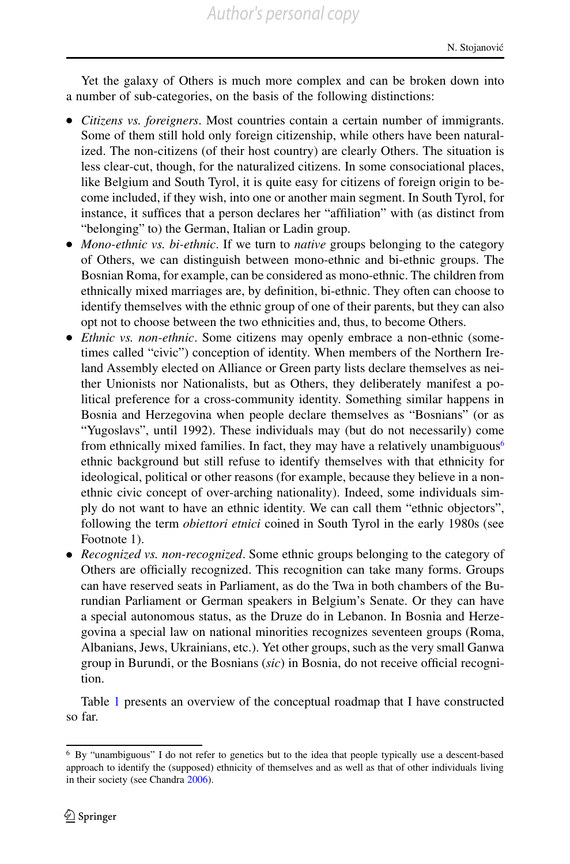Yet the galaxy of Others is much more complex and can be broken down into a number of sub-categories, on the basis of the following distinctions:

- *Citizens vs. foreigners*. Most countries contain a certain number of immigrants. Some of them still hold only foreign citizenship, while others have been naturalized. The non-citizens (of their host country) are clearly Others. The situation is less clear-cut, though, for the naturalized citizens. In some consociational places, like Belgium and South Tyrol, it is quite easy for citizens of foreign origin to become included, if they wish, into one or another main segment. In South Tyrol, for instance, it suffices that a person declares her "affiliation" with (as distinct from "belonging" to) the German, Italian or Ladin group.
- *Mono-ethnic vs. bi-ethnic*. If we turn to *native* groups belonging to the category of Others, we can distinguish between mono-ethnic and bi-ethnic groups. The Bosnian Roma, for example, can be considered as mono-ethnic. The children from ethnically mixed marriages are, by definition, bi-ethnic. They often can choose to identify themselves with the ethnic group of one of their parents, but they can also opt not to choose between the two ethnicities and, thus, to become Others.
- *Ethnic vs. non-ethnic*. Some citizens may openly embrace a non-ethnic (sometimes called "civic") conception of identity. When members of the Northern Ireland Assembly elected on Alliance or Green party lists declare themselves as neither Unionists nor Nationalists, but as Others, they deliberately manifest a political preference for a cross-community identity. Something similar happens in Bosnia and Herzegovina when people declare themselves as "Bosnians" (or as "Yugoslavs", until 1992). These individuals may (but do not necessarily) come from ethnically mixed families. In fact, they may have a relatively unambiguous<sup>6</sup> ethnic background but still refuse to identify themselves with that ethnicity for ideological, political or other reasons (for example, because they believe in a nonethnic civic concept of over-arching nationality). Indeed, some individuals simply do not want to have an ethnic identity. We can call them "ethnic objectors", following the term *obiettori etnici* coined in South Tyrol in the early 1980s (see Footnote 1).
- *Recognized vs. non-recognized*. Some ethnic groups belonging to the category of Others are officially recognized. This recognition can take many forms. Groups can have reserved seats in Parliament, as do the Twa in both chambers of the Burundian Parliament or German speakers in Belgium's Senate. Or they can have a special autonomous status, as the Druze do in Lebanon. In Bosnia and Herzegovina a special law on national minorities recognizes seventeen groups (Roma, Albanians, Jews, Ukrainians, etc.). Yet other groups, such as the very small Ganwa group in Burundi, or the Bosnians (*sic*) in Bosnia, do not receive official recognition.

Table [1](#page-8-0) presents an overview of the conceptual roadmap that I have constructed so far.

<span id="page-7-0"></span><sup>6</sup> By "unambiguous" I do not refer to genetics but to the idea that people typically use a descent-based approach to identify the (supposed) ethnicity of themselves and as well as that of other individuals living in their society (see Chandra [2006\)](#page-23-18).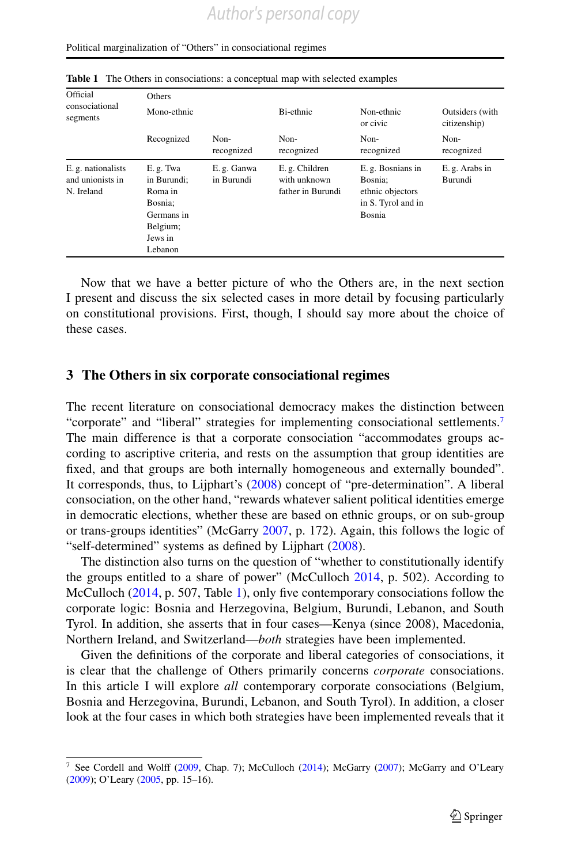| Official                                             | Others                                                                                        |                           |                                                     |                                                                                 |                                 |
|------------------------------------------------------|-----------------------------------------------------------------------------------------------|---------------------------|-----------------------------------------------------|---------------------------------------------------------------------------------|---------------------------------|
| consociational<br>segments                           | Mono-ethnic                                                                                   |                           | Bi-ethnic                                           | Non-ethnic<br>or civic                                                          | Outsiders (with<br>citizenship) |
|                                                      | Recognized                                                                                    | Non-<br>recognized        | Non-<br>recognized                                  | Non-<br>recognized                                                              | Non-<br>recognized              |
| E. g. nationalists<br>and unionists in<br>N. Ireland | E.g. Twa<br>in Burundi:<br>Roma in<br>Bosnia;<br>Germans in<br>Belgium;<br>Jews in<br>Lebanon | E. g. Ganwa<br>in Burundi | E. g. Children<br>with unknown<br>father in Burundi | E.g. Bosnians in<br>Bosnia:<br>ethnic objectors<br>in S. Tyrol and in<br>Bosnia | E.g. Arabs in<br>Burundi        |

Political marginalization of "Others" in consociational regimes

<span id="page-8-0"></span>**Table 1** The Others in consociations: a conceptual map with selected examples

Now that we have a better picture of who the Others are, in the next section I present and discuss the six selected cases in more detail by focusing particularly on constitutional provisions. First, though, I should say more about the choice of these cases.

#### **3 The Others in six corporate consociational regimes**

The recent literature on consociational democracy makes the distinction between "corporate" and "liberal" strategies for implementing consociational settlements[.7](#page-8-1) The main difference is that a corporate consociation "accommodates groups according to ascriptive criteria, and rests on the assumption that group identities are fixed, and that groups are both internally homogeneous and externally bounded". It corresponds, thus, to Lijphart's [\(2008\)](#page-24-12) concept of "pre-determination". A liberal consociation, on the other hand, "rewards whatever salient political identities emerge in democratic elections, whether these are based on ethnic groups, or on sub-group or trans-groups identities" (McGarry [2007,](#page-24-15) p. 172). Again, this follows the logic of "self-determined" systems as defined by Lijphart [\(2008\)](#page-24-12).

The distinction also turns on the question of "whether to constitutionally identify the groups entitled to a share of power" (McCulloch [2014,](#page-24-16) p. 502). According to McCulloch [\(2014,](#page-24-16) p. 507, Table [1\)](#page-8-0), only five contemporary consociations follow the corporate logic: Bosnia and Herzegovina, Belgium, Burundi, Lebanon, and South Tyrol. In addition, she asserts that in four cases—Kenya (since 2008), Macedonia, Northern Ireland, and Switzerland—*both* strategies have been implemented.

Given the definitions of the corporate and liberal categories of consociations, it is clear that the challenge of Others primarily concerns *corporate* consociations. In this article I will explore *all* contemporary corporate consociations (Belgium, Bosnia and Herzegovina, Burundi, Lebanon, and South Tyrol). In addition, a closer look at the four cases in which both strategies have been implemented reveals that it

<span id="page-8-1"></span><sup>7</sup> See Cordell and Wolff [\(2009,](#page-23-19) Chap. 7); McCulloch [\(2014\)](#page-24-16); McGarry [\(2007\)](#page-24-15); McGarry and O'Leary [\(2009\)](#page-24-2); O'Leary [\(2005,](#page-24-3) pp. 15–16).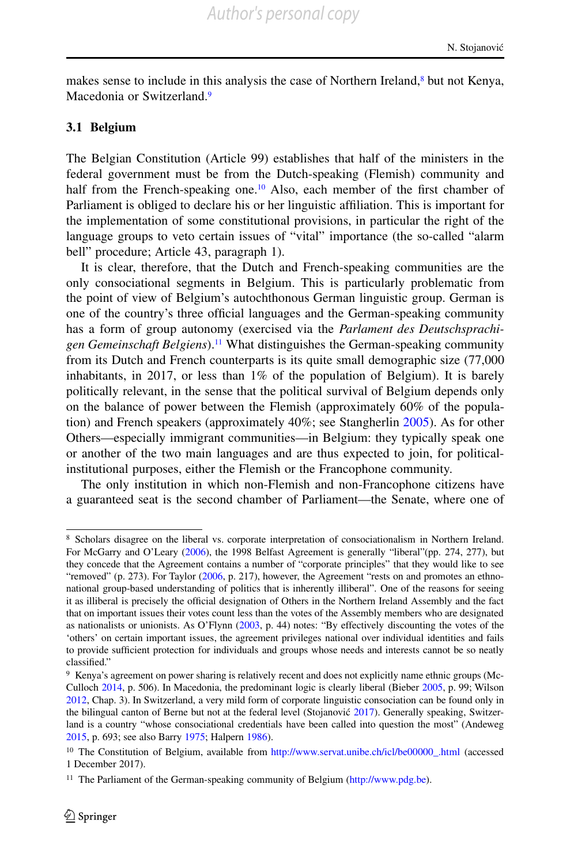makes sense to include in this analysis the case of Northern Ireland, $\delta$  but not Kenya, Macedonia or Switzerland.<sup>9</sup>

#### **3.1 Belgium**

The Belgian Constitution (Article 99) establishes that half of the ministers in the federal government must be from the Dutch-speaking (Flemish) community and half from the French-speaking one.<sup>10</sup> Also, each member of the first chamber of Parliament is obliged to declare his or her linguistic affiliation. This is important for the implementation of some constitutional provisions, in particular the right of the language groups to veto certain issues of "vital" importance (the so-called "alarm bell" procedure; Article 43, paragraph 1).

It is clear, therefore, that the Dutch and French-speaking communities are the only consociational segments in Belgium. This is particularly problematic from the point of view of Belgium's autochthonous German linguistic group. German is one of the country's three official languages and the German-speaking community has a form of group autonomy (exercised via the *Parlament des Deutschsprachigen Gemeinschaft Belgiens*)[.11](#page-9-3) What distinguishes the German-speaking community from its Dutch and French counterparts is its quite small demographic size (77,000 inhabitants, in 2017, or less than 1% of the population of Belgium). It is barely politically relevant, in the sense that the political survival of Belgium depends only on the balance of power between the Flemish (approximately 60% of the population) and French speakers (approximately 40%; see Stangherlin [2005\)](#page-25-4). As for other Others—especially immigrant communities—in Belgium: they typically speak one or another of the two main languages and are thus expected to join, for politicalinstitutional purposes, either the Flemish or the Francophone community.

The only institution in which non-Flemish and non-Francophone citizens have a guaranteed seat is the second chamber of Parliament—the Senate, where one of

<span id="page-9-0"></span><sup>8</sup> Scholars disagree on the liberal vs. corporate interpretation of consociationalism in Northern Ireland. For McGarry and O'Leary [\(2006\)](#page-24-17), the 1998 Belfast Agreement is generally "liberal"(pp. 274, 277), but they concede that the Agreement contains a number of "corporate principles" that they would like to see "removed" (p. 273). For Taylor [\(2006,](#page-25-5) p. 217), however, the Agreement "rests on and promotes an ethnonational group-based understanding of politics that is inherently illiberal". One of the reasons for seeing it as illiberal is precisely the official designation of Others in the Northern Ireland Assembly and the fact that on important issues their votes count less than the votes of the Assembly members who are designated as nationalists or unionists. As O'Flynn [\(2003,](#page-24-13) p. 44) notes: "By effectively discounting the votes of the 'others' on certain important issues, the agreement privileges national over individual identities and fails to provide sufficient protection for individuals and groups whose needs and interests cannot be so neatly classified."

<span id="page-9-1"></span><sup>9</sup> Kenya's agreement on power sharing is relatively recent and does not explicitly name ethnic groups (Mc-Culloch [2014,](#page-24-16) p. 506). In Macedonia, the predominant logic is clearly liberal (Bieber [2005,](#page-23-20) p. 99; Wilson [2012,](#page-25-3) Chap. 3). In Switzerland, a very mild form of corporate linguistic consociation can be found only in the bilingual canton of Berne but not at the federal level (Stojanović [2017\)](#page-25-6). Generally speaking, Switzerland is a country "whose consociational credentials have been called into question the most" (Andeweg [2015,](#page-23-7) p. 693; see also Barry [1975;](#page-23-17) Halpern [1986\)](#page-23-11).

<span id="page-9-3"></span><span id="page-9-2"></span><sup>&</sup>lt;sup>10</sup> The Constitution of Belgium, available from [http://www.servat.unibe.ch/icl/be00000\\_.html](http://www.servat.unibe.ch/icl/be00000_.html) (accessed 1 December 2017).

<sup>11</sup> The Parliament of the German-speaking community of Belgium [\(http://www.pdg.be\)](http://www.pdg.be).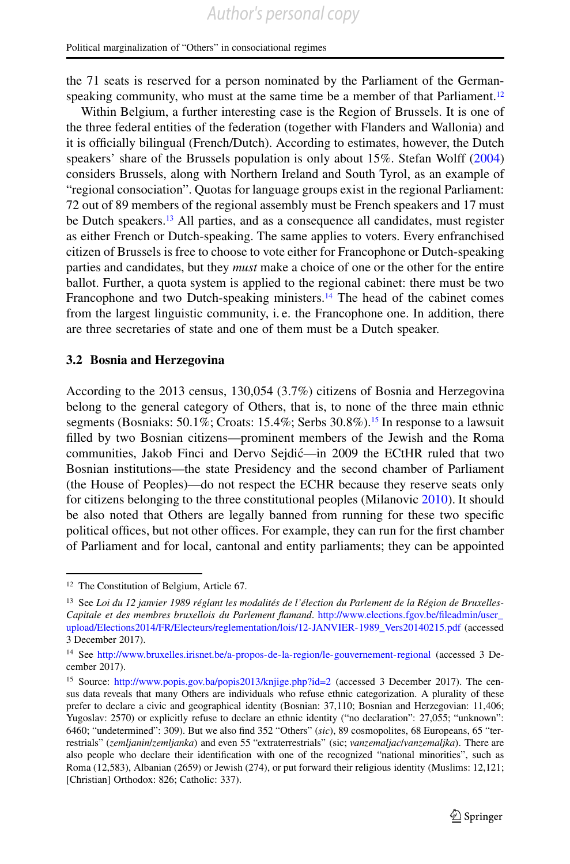Political marginalization of "Others" in consociational regimes

the 71 seats is reserved for a person nominated by the Parliament of the Germanspeaking community, who must at the same time be a member of that Parliament.<sup>12</sup>

Within Belgium, a further interesting case is the Region of Brussels. It is one of the three federal entities of the federation (together with Flanders and Wallonia) and it is officially bilingual (French/Dutch). According to estimates, however, the Dutch speakers' share of the Brussels population is only about 15%. Stefan Wolff [\(2004\)](#page-25-0) considers Brussels, along with Northern Ireland and South Tyrol, as an example of "regional consociation". Quotas for language groups exist in the regional Parliament: 72 out of 89 members of the regional assembly must be French speakers and 17 must be Dutch speakers[.13](#page-10-1) All parties, and as a consequence all candidates, must register as either French or Dutch-speaking. The same applies to voters. Every enfranchised citizen of Brussels is free to choose to vote either for Francophone or Dutch-speaking parties and candidates, but they *must* make a choice of one or the other for the entire ballot. Further, a quota system is applied to the regional cabinet: there must be two Francophone and two Dutch-speaking ministers.<sup>14</sup> The head of the cabinet comes from the largest linguistic community, i. e. the Francophone one. In addition, there are three secretaries of state and one of them must be a Dutch speaker.

#### **3.2 Bosnia and Herzegovina**

According to the 2013 census, 130,054 (3.7%) citizens of Bosnia and Herzegovina belong to the general category of Others, that is, to none of the three main ethnic segments (Bosniaks: 50.1%; Croats: 15.4%; Serbs 30.8%)[.15](#page-10-3) In response to a lawsuit filled by two Bosnian citizens—prominent members of the Jewish and the Roma communities, Jakob Finci and Dervo Sejdic—in 2009 the ECtHR ruled that two ´ Bosnian institutions—the state Presidency and the second chamber of Parliament (the House of Peoples)—do not respect the ECHR because they reserve seats only for citizens belonging to the three constitutional peoples (Milanovic [2010\)](#page-24-1). It should be also noted that Others are legally banned from running for these two specific political offices, but not other offices. For example, they can run for the first chamber of Parliament and for local, cantonal and entity parliaments; they can be appointed

<span id="page-10-1"></span><span id="page-10-0"></span><sup>12</sup> The Constitution of Belgium, Article 67.

<sup>13</sup> See *Loi du 12 janvier 1989 réglant les modalités de l'élection du Parlement de la Région de Bruxelles-Capitale et des membres bruxellois du Parlement flamand*. [http://www.elections.fgov.be/fileadmin/user\\_](http://www.elections.fgov.be/fileadmin/user_upload/Elections2014/FR/Electeurs/reglementation/lois/12-JANVIER-1989_Vers20140215.pdf) [upload/Elections2014/FR/Electeurs/reglementation/lois/12-JANVIER-1989\\_Vers20140215.pdf](http://www.elections.fgov.be/fileadmin/user_upload/Elections2014/FR/Electeurs/reglementation/lois/12-JANVIER-1989_Vers20140215.pdf) (accessed 3 December 2017).

<span id="page-10-3"></span><span id="page-10-2"></span><sup>14</sup> See <http://www.bruxelles.irisnet.be/a-propos-de-la-region/le-gouvernement-regional> (accessed 3 December 2017).

<sup>15</sup> Source: <http://www.popis.gov.ba/popis2013/knjige.php?id=2> (accessed 3 December 2017). The census data reveals that many Others are individuals who refuse ethnic categorization. A plurality of these prefer to declare a civic and geographical identity (Bosnian: 37,110; Bosnian and Herzegovian: 11,406; Yugoslav: 2570) or explicitly refuse to declare an ethnic identity ("no declaration": 27,055; "unknown": 6460; "undetermined": 309). But we also find 352 "Others" (*sic*), 89 cosmopolites, 68 Europeans, 65 "terrestrials" (*zemljanin*/*zemljanka*) and even 55 "extraterrestrials" (sic; *vanzemaljac*/*vanzemaljka*). There are also people who declare their identification with one of the recognized "national minorities", such as Roma (12,583), Albanian (2659) or Jewish (274), or put forward their religious identity (Muslims: 12,121; [Christian] Orthodox: 826; Catholic: 337).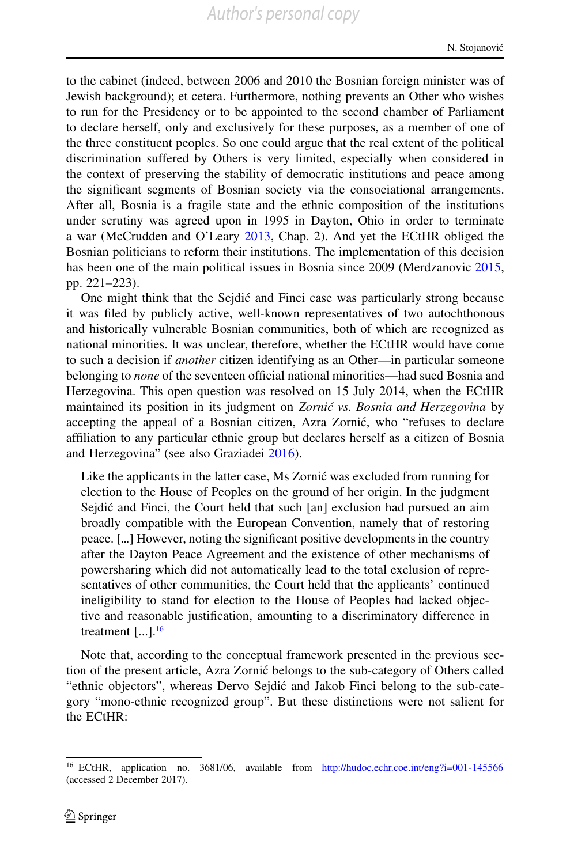to the cabinet (indeed, between 2006 and 2010 the Bosnian foreign minister was of Jewish background); et cetera. Furthermore, nothing prevents an Other who wishes to run for the Presidency or to be appointed to the second chamber of Parliament to declare herself, only and exclusively for these purposes, as a member of one of the three constituent peoples. So one could argue that the real extent of the political discrimination suffered by Others is very limited, especially when considered in the context of preserving the stability of democratic institutions and peace among the significant segments of Bosnian society via the consociational arrangements. After all, Bosnia is a fragile state and the ethnic composition of the institutions under scrutiny was agreed upon in 1995 in Dayton, Ohio in order to terminate a war (McCrudden and O'Leary [2013,](#page-24-6) Chap. 2). And yet the ECtHR obliged the Bosnian politicians to reform their institutions. The implementation of this decision has been one of the main political issues in Bosnia since 2009 (Merdzanovic [2015,](#page-24-18) pp. 221–223).

One might think that the Sejdic and Finci case was particularly strong because ´ it was filed by publicly active, well-known representatives of two autochthonous and historically vulnerable Bosnian communities, both of which are recognized as national minorities. It was unclear, therefore, whether the ECtHR would have come to such a decision if *another* citizen identifying as an Other—in particular someone belonging to *none* of the seventeen official national minorities—had sued Bosnia and Herzegovina. This open question was resolved on 15 July 2014, when the ECtHR maintained its position in its judgment on *Zornić vs. Bosnia and Herzegovina* by accepting the appeal of a Bosnian citizen, Azra Zornic, who "refuses to declare ´ affiliation to any particular ethnic group but declares herself as a citizen of Bosnia and Herzegovina" (see also Graziadei [2016\)](#page-23-2).

Like the applicants in the latter case, Ms Zornic was excluded from running for election to the House of Peoples on the ground of her origin. In the judgment Sejdić and Finci, the Court held that such [an] exclusion had pursued an aim broadly compatible with the European Convention, namely that of restoring peace. [...] However, noting the significant positive developments in the country after the Dayton Peace Agreement and the existence of other mechanisms of powersharing which did not automatically lead to the total exclusion of representatives of other communities, the Court held that the applicants' continued ineligibility to stand for election to the House of Peoples had lacked objective and reasonable justification, amounting to a discriminatory difference in treatment  $[...]$ .<sup>16</sup>

Note that, according to the conceptual framework presented in the previous section of the present article, Azra Zornic belongs to the sub-category of Others called ´ "ethnic objectors", whereas Dervo Sejdic and Jakob Finci belong to the sub-cate- ´ gory "mono-ethnic recognized group". But these distinctions were not salient for the ECtHR:

<span id="page-11-0"></span><sup>16</sup> ECtHR, application no. 3681/06, available from <http://hudoc.echr.coe.int/eng?i=001-145566> (accessed 2 December 2017).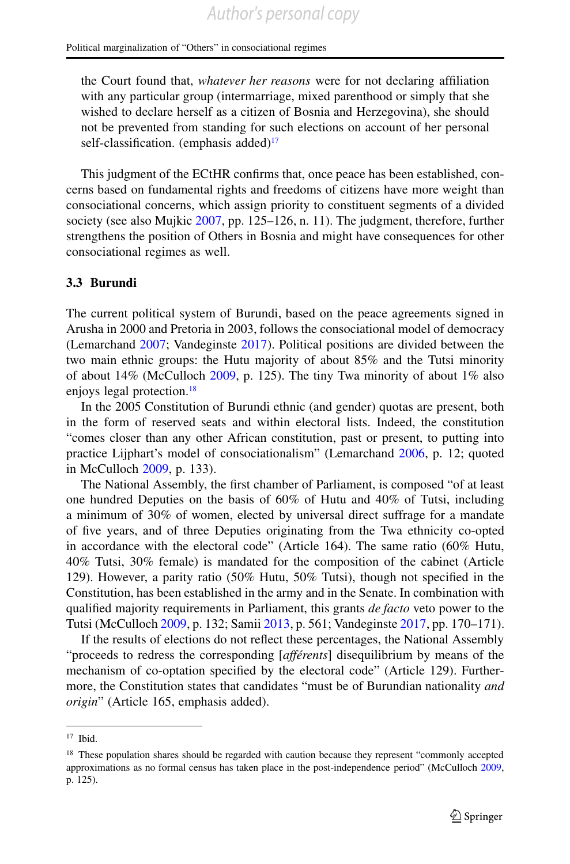the Court found that, *whatever her reasons* were for not declaring affiliation with any particular group (intermarriage, mixed parenthood or simply that she wished to declare herself as a citizen of Bosnia and Herzegovina), she should not be prevented from standing for such elections on account of her personal self-classification. (emphasis added)<sup>17</sup>

This judgment of the ECtHR confirms that, once peace has been established, concerns based on fundamental rights and freedoms of citizens have more weight than consociational concerns, which assign priority to constituent segments of a divided society (see also Mujkic [2007,](#page-24-14) pp. 125–126, n. 11). The judgment, therefore, further strengthens the position of Others in Bosnia and might have consequences for other consociational regimes as well.

#### **3.3 Burundi**

The current political system of Burundi, based on the peace agreements signed in Arusha in 2000 and Pretoria in 2003, follows the consociational model of democracy (Lemarchand [2007;](#page-23-21) Vandeginste [2017\)](#page-25-7). Political positions are divided between the two main ethnic groups: the Hutu majority of about 85% and the Tutsi minority of about 14% (McCulloch [2009,](#page-24-19) p. 125). The tiny Twa minority of about  $1\%$  also enjoys legal protection.<sup>18</sup>

In the 2005 Constitution of Burundi ethnic (and gender) quotas are present, both in the form of reserved seats and within electoral lists. Indeed, the constitution "comes closer than any other African constitution, past or present, to putting into practice Lijphart's model of consociationalism" (Lemarchand [2006,](#page-23-22) p. 12; quoted in McCulloch [2009,](#page-24-19) p. 133).

The National Assembly, the first chamber of Parliament, is composed "of at least one hundred Deputies on the basis of 60% of Hutu and 40% of Tutsi, including a minimum of 30% of women, elected by universal direct suffrage for a mandate of five years, and of three Deputies originating from the Twa ethnicity co-opted in accordance with the electoral code" (Article 164). The same ratio (60% Hutu, 40% Tutsi, 30% female) is mandated for the composition of the cabinet (Article 129). However, a parity ratio (50% Hutu, 50% Tutsi), though not specified in the Constitution, has been established in the army and in the Senate. In combination with qualified majority requirements in Parliament, this grants *de facto* veto power to the Tutsi (McCulloch [2009,](#page-24-19) p. 132; Samii [2013,](#page-24-20) p. 561; Vandeginste [2017,](#page-25-7) pp. 170–171).

If the results of elections do not reflect these percentages, the National Assembly "proceeds to redress the corresponding [*afférents*] disequilibrium by means of the mechanism of co-optation specified by the electoral code" (Article 129). Furthermore, the Constitution states that candidates "must be of Burundian nationality *and origin*" (Article 165, emphasis added).

<span id="page-12-1"></span><span id="page-12-0"></span><sup>17</sup> Ibid.

<sup>&</sup>lt;sup>18</sup> These population shares should be regarded with caution because they represent "commonly accepted approximations as no formal census has taken place in the post-independence period" (McCulloch [2009,](#page-24-19) p. 125).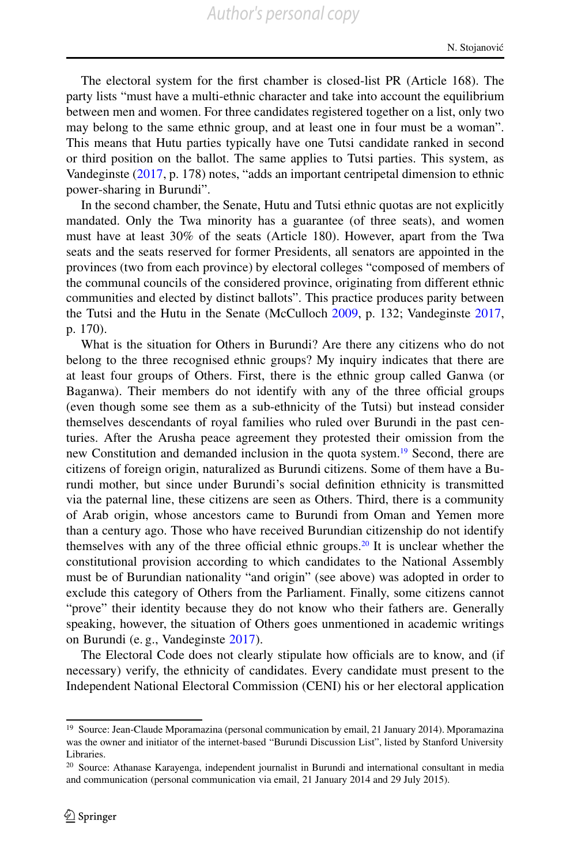The electoral system for the first chamber is closed-list PR (Article 168). The party lists "must have a multi-ethnic character and take into account the equilibrium between men and women. For three candidates registered together on a list, only two may belong to the same ethnic group, and at least one in four must be a woman". This means that Hutu parties typically have one Tutsi candidate ranked in second or third position on the ballot. The same applies to Tutsi parties. This system, as Vandeginste [\(2017,](#page-25-7) p. 178) notes, "adds an important centripetal dimension to ethnic power-sharing in Burundi".

In the second chamber, the Senate, Hutu and Tutsi ethnic quotas are not explicitly mandated. Only the Twa minority has a guarantee (of three seats), and women must have at least 30% of the seats (Article 180). However, apart from the Twa seats and the seats reserved for former Presidents, all senators are appointed in the provinces (two from each province) by electoral colleges "composed of members of the communal councils of the considered province, originating from different ethnic communities and elected by distinct ballots". This practice produces parity between the Tutsi and the Hutu in the Senate (McCulloch [2009,](#page-24-19) p. 132; Vandeginste [2017,](#page-25-7) p. 170).

What is the situation for Others in Burundi? Are there any citizens who do not belong to the three recognised ethnic groups? My inquiry indicates that there are at least four groups of Others. First, there is the ethnic group called Ganwa (or Baganwa). Their members do not identify with any of the three official groups (even though some see them as a sub-ethnicity of the Tutsi) but instead consider themselves descendants of royal families who ruled over Burundi in the past centuries. After the Arusha peace agreement they protested their omission from the new Constitution and demanded inclusion in the quota system[.19](#page-13-0) Second, there are citizens of foreign origin, naturalized as Burundi citizens. Some of them have a Burundi mother, but since under Burundi's social definition ethnicity is transmitted via the paternal line, these citizens are seen as Others. Third, there is a community of Arab origin, whose ancestors came to Burundi from Oman and Yemen more than a century ago. Those who have received Burundian citizenship do not identify themselves with any of the three official ethnic groups.<sup>20</sup> It is unclear whether the constitutional provision according to which candidates to the National Assembly must be of Burundian nationality "and origin" (see above) was adopted in order to exclude this category of Others from the Parliament. Finally, some citizens cannot "prove" their identity because they do not know who their fathers are. Generally speaking, however, the situation of Others goes unmentioned in academic writings on Burundi (e. g., Vandeginste [2017\)](#page-25-7).

The Electoral Code does not clearly stipulate how officials are to know, and (if necessary) verify, the ethnicity of candidates. Every candidate must present to the Independent National Electoral Commission (CENI) his or her electoral application

<span id="page-13-0"></span><sup>19</sup> Source: Jean-Claude Mporamazina (personal communication by email, 21 January 2014). Mporamazina was the owner and initiator of the internet-based "Burundi Discussion List", listed by Stanford University Libraries.

<span id="page-13-1"></span><sup>&</sup>lt;sup>20</sup> Source: Athanase Karayenga, independent journalist in Burundi and international consultant in media and communication (personal communication via email, 21 January 2014 and 29 July 2015).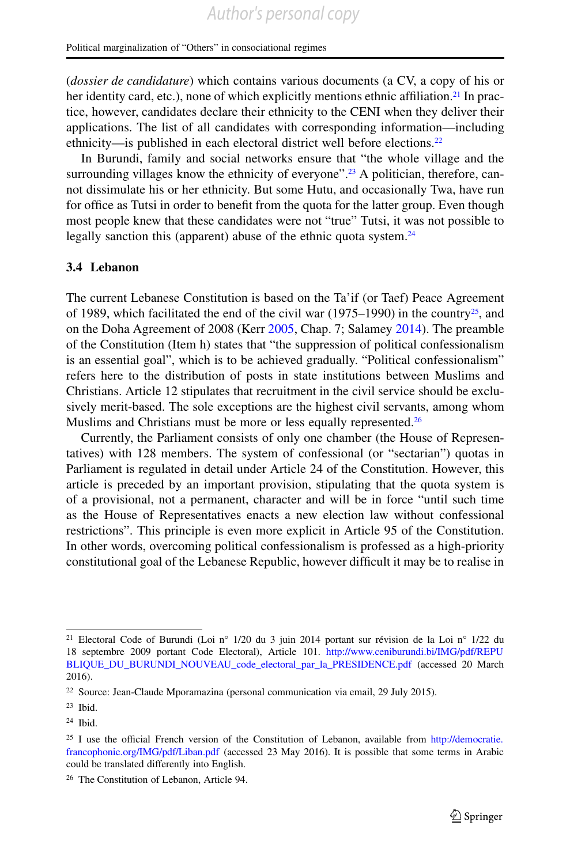(*dossier de candidature*) which contains various documents (a CV, a copy of his or her identity card, etc.), none of which explicitly mentions ethnic affiliation.<sup>21</sup> In practice, however, candidates declare their ethnicity to the CENI when they deliver their applications. The list of all candidates with corresponding information—including ethnicity—is published in each electoral district well before elections[.22](#page-14-1)

In Burundi, family and social networks ensure that "the whole village and the surrounding villages know the ethnicity of everyone".<sup>23</sup> A politician, therefore, cannot dissimulate his or her ethnicity. But some Hutu, and occasionally Twa, have run for office as Tutsi in order to benefit from the quota for the latter group. Even though most people knew that these candidates were not "true" Tutsi, it was not possible to legally sanction this (apparent) abuse of the ethnic quota system.<sup>24</sup>

#### **3.4 Lebanon**

The current Lebanese Constitution is based on the Ta'if (or Taef) Peace Agreement of 1989, which facilitated the end of the civil war (1975–1990) in the country<sup>25</sup>, and on the Doha Agreement of 2008 (Kerr [2005,](#page-23-23) Chap. 7; Salamey [2014\)](#page-24-21). The preamble of the Constitution (Item h) states that "the suppression of political confessionalism is an essential goal", which is to be achieved gradually. "Political confessionalism" refers here to the distribution of posts in state institutions between Muslims and Christians. Article 12 stipulates that recruitment in the civil service should be exclusively merit-based. The sole exceptions are the highest civil servants, among whom Muslims and Christians must be more or less equally represented.<sup>26</sup>

Currently, the Parliament consists of only one chamber (the House of Representatives) with 128 members. The system of confessional (or "sectarian") quotas in Parliament is regulated in detail under Article 24 of the Constitution. However, this article is preceded by an important provision, stipulating that the quota system is of a provisional, not a permanent, character and will be in force "until such time as the House of Representatives enacts a new election law without confessional restrictions". This principle is even more explicit in Article 95 of the Constitution. In other words, overcoming political confessionalism is professed as a high-priority constitutional goal of the Lebanese Republic, however difficult it may be to realise in

<span id="page-14-0"></span><sup>21</sup> Electoral Code of Burundi (Loi n° 1/20 du 3 juin 2014 portant sur révision de la Loi n° 1/22 du 18 septembre 2009 portant Code Electoral), Article 101. [http://www.ceniburundi.bi/IMG/pdf/REPU](http://www.ceniburundi.bi/IMG/pdf/REPUBLIQUE_DU_BURUNDI_NOUVEAU_code_electoral_par_la_PRESIDENCE.pdf) [BLIQUE\\_DU\\_BURUNDI\\_NOUVEAU\\_code\\_electoral\\_par\\_la\\_PRESIDENCE.pdf](http://www.ceniburundi.bi/IMG/pdf/REPUBLIQUE_DU_BURUNDI_NOUVEAU_code_electoral_par_la_PRESIDENCE.pdf) (accessed 20 March 2016).

<span id="page-14-2"></span><span id="page-14-1"></span><sup>22</sup> Source: Jean-Claude Mporamazina (personal communication via email, 29 July 2015).

<span id="page-14-3"></span><sup>23</sup> Ibid.

<span id="page-14-4"></span><sup>24</sup> Ibid.

<sup>25</sup> I use the official French version of the Constitution of Lebanon, available from [http://democratie.](http://democratie.francophonie.org/IMG/pdf/Liban.pdf) [francophonie.org/IMG/pdf/Liban.pdf](http://democratie.francophonie.org/IMG/pdf/Liban.pdf) (accessed 23 May 2016). It is possible that some terms in Arabic could be translated differently into English.

<span id="page-14-5"></span><sup>26</sup> The Constitution of Lebanon, Article 94.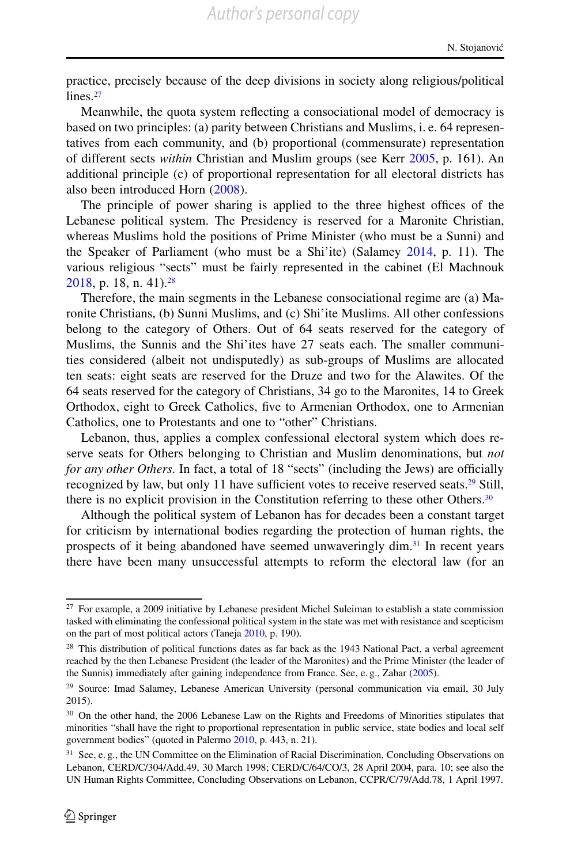practice, precisely because of the deep divisions in society along religious/political lines.<sup>27</sup>

Meanwhile, the quota system reflecting a consociational model of democracy is based on two principles: (a) parity between Christians and Muslims, i. e. 64 representatives from each community, and (b) proportional (commensurate) representation of different sects *within* Christian and Muslim groups (see Kerr [2005,](#page-23-23) p. 161). An additional principle (c) of proportional representation for all electoral districts has also been introduced Horn [\(2008\)](#page-23-24).

The principle of power sharing is applied to the three highest offices of the Lebanese political system. The Presidency is reserved for a Maronite Christian, whereas Muslims hold the positions of Prime Minister (who must be a Sunni) and the Speaker of Parliament (who must be a Shi'ite) (Salamey [2014,](#page-24-21) p. 11). The various religious "sects" must be fairly represented in the cabinet (El Machnouk [2018,](#page-23-25) p. 18, n. 41).<sup>28</sup>

Therefore, the main segments in the Lebanese consociational regime are (a) Maronite Christians, (b) Sunni Muslims, and (c) Shi'ite Muslims. All other confessions belong to the category of Others. Out of 64 seats reserved for the category of Muslims, the Sunnis and the Shi'ites have 27 seats each. The smaller communities considered (albeit not undisputedly) as sub-groups of Muslims are allocated ten seats: eight seats are reserved for the Druze and two for the Alawites. Of the 64 seats reserved for the category of Christians, 34 go to the Maronites, 14 to Greek Orthodox, eight to Greek Catholics, five to Armenian Orthodox, one to Armenian Catholics, one to Protestants and one to "other" Christians.

Lebanon, thus, applies a complex confessional electoral system which does reserve seats for Others belonging to Christian and Muslim denominations, but *not for any other Others*. In fact, a total of 18 "sects" (including the Jews) are officially recognized by law, but only 11 have sufficient votes to receive reserved seats[.29](#page-15-2) Still, there is no explicit provision in the Constitution referring to these other Others[.30](#page-15-3)

Although the political system of Lebanon has for decades been a constant target for criticism by international bodies regarding the protection of human rights, the prospects of it being abandoned have seemed unwaveringly dim.<sup>31</sup> In recent years there have been many unsuccessful attempts to reform the electoral law (for an

<span id="page-15-0"></span><sup>&</sup>lt;sup>27</sup> For example, a 2009 initiative by Lebanese president Michel Suleiman to establish a state commission tasked with eliminating the confessional political system in the state was met with resistance and scepticism on the part of most political actors (Taneja [2010,](#page-25-8) p. 190).

<span id="page-15-1"></span><sup>&</sup>lt;sup>28</sup> This distribution of political functions dates as far back as the 1943 National Pact, a verbal agreement reached by the then Lebanese President (the leader of the Maronites) and the Prime Minister (the leader of the Sunnis) immediately after gaining independence from France. See, e. g., Zahar [\(2005\)](#page-25-9).

<span id="page-15-3"></span><span id="page-15-2"></span><sup>29</sup> Source: Imad Salamey, Lebanese American University (personal communication via email, 30 July 2015).

<sup>&</sup>lt;sup>30</sup> On the other hand, the 2006 Lebanese Law on the Rights and Freedoms of Minorities stipulates that minorities "shall have the right to proportional representation in public service, state bodies and local self government bodies" (quoted in Palermo [2010,](#page-24-22) p. 443, n. 21).

<span id="page-15-4"></span><sup>&</sup>lt;sup>31</sup> See, e. g., the UN Committee on the Elimination of Racial Discrimination, Concluding Observations on Lebanon, CERD/C/304/Add.49, 30 March 1998; CERD/C/64/CO/3, 28 April 2004, para. 10; see also the UN Human Rights Committee, Concluding Observations on Lebanon, CCPR/C/79/Add.78, 1 April 1997.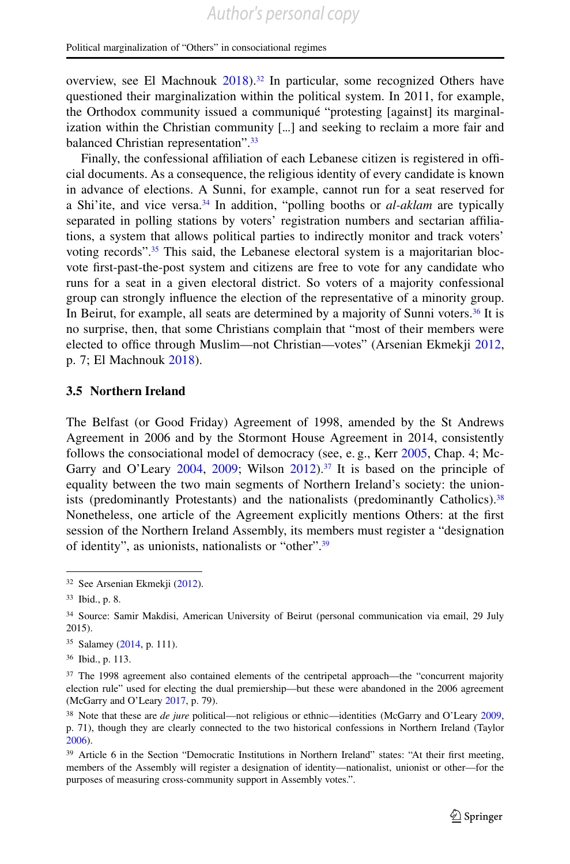overview, see El Machnouk [2018\)](#page-23-25).<sup>32</sup> In particular, some recognized Others have questioned their marginalization within the political system. In 2011, for example, the Orthodox community issued a communiqué "protesting [against] its marginalization within the Christian community [...] and seeking to reclaim a more fair and balanced Christian representation".<sup>33</sup>

Finally, the confessional affiliation of each Lebanese citizen is registered in official documents. As a consequence, the religious identity of every candidate is known in advance of elections. A Sunni, for example, cannot run for a seat reserved for a Shi'ite, and vice versa[.34](#page-16-2) In addition, "polling booths or *al-aklam* are typically separated in polling stations by voters' registration numbers and sectarian affiliations, a system that allows political parties to indirectly monitor and track voters' voting records"[.35](#page-16-3) This said, the Lebanese electoral system is a majoritarian blocvote first-past-the-post system and citizens are free to vote for any candidate who runs for a seat in a given electoral district. So voters of a majority confessional group can strongly influence the election of the representative of a minority group. In Beirut, for example, all seats are determined by a majority of Sunni voters.<sup>36</sup> It is no surprise, then, that some Christians complain that "most of their members were elected to office through Muslim—not Christian—votes" (Arsenian Ekmekji [2012,](#page-23-26) p. 7; El Machnouk [2018\)](#page-23-25).

#### **3.5 Northern Ireland**

The Belfast (or Good Friday) Agreement of 1998, amended by the St Andrews Agreement in 2006 and by the Stormont House Agreement in 2014, consistently follows the consociational model of democracy (see, e. g., Kerr [2005,](#page-23-23) Chap. 4; Mc-Garry and O'Leary [2004,](#page-24-23) [2009;](#page-24-2) Wilson  $2012$ ).<sup>37</sup> It is based on the principle of equality between the two main segments of Northern Ireland's society: the unionists (predominantly Protestants) and the nationalists (predominantly Catholics).<sup>38</sup> Nonetheless, one article of the Agreement explicitly mentions Others: at the first session of the Northern Ireland Assembly, its members must register a "designation of identity", as unionists, nationalists or "other"[.39](#page-16-7)

<span id="page-16-1"></span><span id="page-16-0"></span><sup>32</sup> See Arsenian Ekmekji [\(2012\)](#page-23-26).

<span id="page-16-2"></span><sup>33</sup> Ibid., p. 8.

<span id="page-16-3"></span><sup>34</sup> Source: Samir Makdisi, American University of Beirut (personal communication via email, 29 July 2015).

<span id="page-16-4"></span><sup>35</sup> Salamey [\(2014,](#page-24-21) p. 111).

<span id="page-16-5"></span><sup>36</sup> Ibid., p. 113.

<sup>&</sup>lt;sup>37</sup> The 1998 agreement also contained elements of the centripetal approach—the "concurrent majority election rule" used for electing the dual premiership—but these were abandoned in the 2006 agreement (McGarry and O'Leary [2017,](#page-24-24) p. 79).

<span id="page-16-6"></span><sup>38</sup> Note that these are *de jure* political—not religious or ethnic—identities (McGarry and O'Leary [2009,](#page-24-2) p. 71), though they are clearly connected to the two historical confessions in Northern Ireland (Taylor [2006\)](#page-25-5).

<span id="page-16-7"></span><sup>&</sup>lt;sup>39</sup> Article 6 in the Section "Democratic Institutions in Northern Ireland" states: "At their first meeting, members of the Assembly will register a designation of identity—nationalist, unionist or other—for the purposes of measuring cross-community support in Assembly votes.".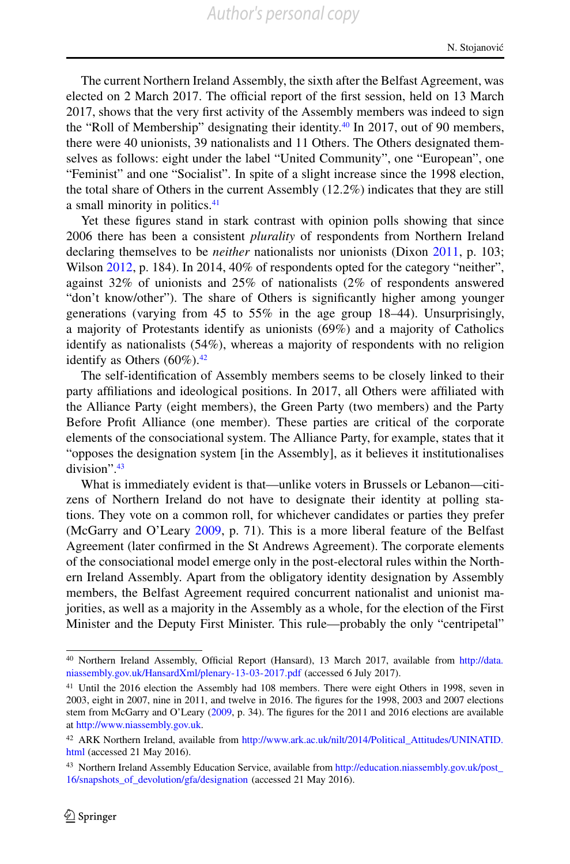The current Northern Ireland Assembly, the sixth after the Belfast Agreement, was elected on 2 March 2017. The official report of the first session, held on 13 March 2017, shows that the very first activity of the Assembly members was indeed to sign the "Roll of Membership" designating their identity[.40](#page-17-0) In 2017, out of 90 members, there were 40 unionists, 39 nationalists and 11 Others. The Others designated themselves as follows: eight under the label "United Community", one "European", one "Feminist" and one "Socialist". In spite of a slight increase since the 1998 election, the total share of Others in the current Assembly (12.2%) indicates that they are still a small minority in politics.<sup>41</sup>

Yet these figures stand in stark contrast with opinion polls showing that since 2006 there has been a consistent *plurality* of respondents from Northern Ireland declaring themselves to be *neither* nationalists nor unionists (Dixon [2011,](#page-23-10) p. 103; Wilson [2012,](#page-25-3) p. 184). In 2014, 40% of respondents opted for the category "neither", against 32% of unionists and 25% of nationalists (2% of respondents answered "don't know/other"). The share of Others is significantly higher among younger generations (varying from 45 to 55% in the age group 18–44). Unsurprisingly, a majority of Protestants identify as unionists (69%) and a majority of Catholics identify as nationalists (54%), whereas a majority of respondents with no religion identify as Others  $(60\%)$ .<sup>42</sup>

The self-identification of Assembly members seems to be closely linked to their party affiliations and ideological positions. In 2017, all Others were affiliated with the Alliance Party (eight members), the Green Party (two members) and the Party Before Profit Alliance (one member). These parties are critical of the corporate elements of the consociational system. The Alliance Party, for example, states that it "opposes the designation system [in the Assembly], as it believes it institutionalises division".<sup>43</sup>

What is immediately evident is that—unlike voters in Brussels or Lebanon—citizens of Northern Ireland do not have to designate their identity at polling stations. They vote on a common roll, for whichever candidates or parties they prefer (McGarry and O'Leary [2009,](#page-24-2) p. 71). This is a more liberal feature of the Belfast Agreement (later confirmed in the St Andrews Agreement). The corporate elements of the consociational model emerge only in the post-electoral rules within the Northern Ireland Assembly. Apart from the obligatory identity designation by Assembly members, the Belfast Agreement required concurrent nationalist and unionist majorities, as well as a majority in the Assembly as a whole, for the election of the First Minister and the Deputy First Minister. This rule—probably the only "centripetal"

<span id="page-17-1"></span><span id="page-17-0"></span><sup>40</sup> Northern Ireland Assembly, Official Report (Hansard), 13 March 2017, available from [http://data.](http://data.niassembly.gov.uk/HansardXml/plenary-13-03-2017.pdf) [niassembly.gov.uk/HansardXml/plenary-13-03-2017.pdf](http://data.niassembly.gov.uk/HansardXml/plenary-13-03-2017.pdf) (accessed 6 July 2017).

<sup>41</sup> Until the 2016 election the Assembly had 108 members. There were eight Others in 1998, seven in 2003, eight in 2007, nine in 2011, and twelve in 2016. The figures for the 1998, 2003 and 2007 elections stem from McGarry and O'Leary [\(2009,](#page-24-2) p. 34). The figures for the 2011 and 2016 elections are available at [http://www.niassembly.gov.uk.](http://www.niassembly.gov.uk)

<span id="page-17-2"></span><sup>42</sup> ARK Northern Ireland, available from [http://www.ark.ac.uk/nilt/2014/Political\\_Attitudes/UNINATID.](http://www.ark.ac.uk/nilt/2014/Political_Attitudes/UNINATID.html) [html](http://www.ark.ac.uk/nilt/2014/Political_Attitudes/UNINATID.html) (accessed 21 May 2016).

<span id="page-17-3"></span><sup>43</sup> Northern Ireland Assembly Education Service, available from [http://education.niassembly.gov.uk/post\\_](http://education.niassembly.gov.uk/post_16/snapshots_of_devolution/gfa/designation) [16/snapshots\\_of\\_devolution/gfa/designation](http://education.niassembly.gov.uk/post_16/snapshots_of_devolution/gfa/designation) (accessed 21 May 2016).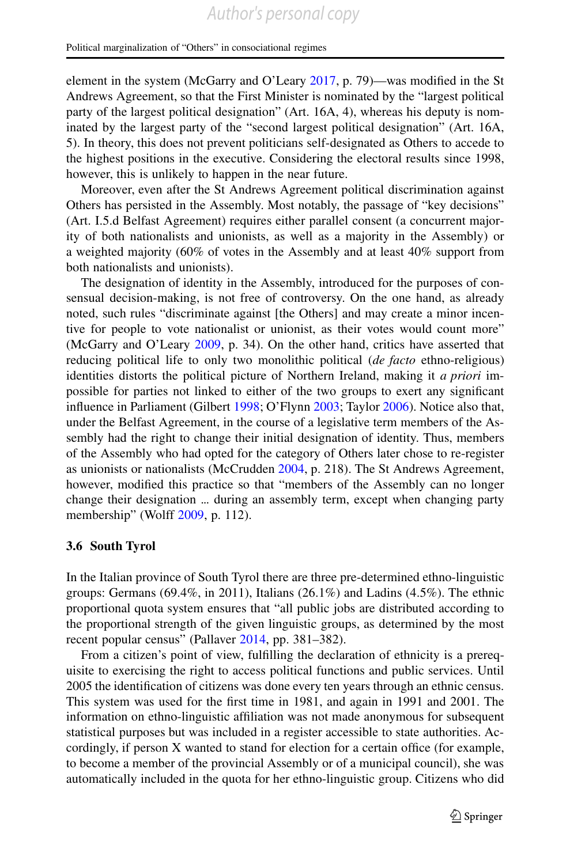element in the system (McGarry and O'Leary [2017,](#page-24-24) p. 79)—was modified in the St Andrews Agreement, so that the First Minister is nominated by the "largest political party of the largest political designation" (Art. 16A, 4), whereas his deputy is nominated by the largest party of the "second largest political designation" (Art. 16A, 5). In theory, this does not prevent politicians self-designated as Others to accede to the highest positions in the executive. Considering the electoral results since 1998, however, this is unlikely to happen in the near future.

Moreover, even after the St Andrews Agreement political discrimination against Others has persisted in the Assembly. Most notably, the passage of "key decisions" (Art. I.5.d Belfast Agreement) requires either parallel consent (a concurrent majority of both nationalists and unionists, as well as a majority in the Assembly) or a weighted majority (60% of votes in the Assembly and at least 40% support from both nationalists and unionists).

The designation of identity in the Assembly, introduced for the purposes of consensual decision-making, is not free of controversy. On the one hand, as already noted, such rules "discriminate against [the Others] and may create a minor incentive for people to vote nationalist or unionist, as their votes would count more" (McGarry and O'Leary [2009,](#page-24-2) p. 34). On the other hand, critics have asserted that reducing political life to only two monolithic political (*de facto* ethno-religious) identities distorts the political picture of Northern Ireland, making it *a priori* impossible for parties not linked to either of the two groups to exert any significant influence in Parliament (Gilbert [1998;](#page-23-27) O'Flynn [2003;](#page-24-13) Taylor [2006\)](#page-25-5). Notice also that, under the Belfast Agreement, in the course of a legislative term members of the Assembly had the right to change their initial designation of identity. Thus, members of the Assembly who had opted for the category of Others later chose to re-register as unionists or nationalists (McCrudden [2004,](#page-24-25) p. 218). The St Andrews Agreement, however, modified this practice so that "members of the Assembly can no longer change their designation ... during an assembly term, except when changing party membership" (Wolff [2009,](#page-25-10) p. 112).

#### **3.6 South Tyrol**

In the Italian province of South Tyrol there are three pre-determined ethno-linguistic groups: Germans (69.4%, in 2011), Italians (26.1%) and Ladins (4.5%). The ethnic proportional quota system ensures that "all public jobs are distributed according to the proportional strength of the given linguistic groups, as determined by the most recent popular census" (Pallaver [2014,](#page-24-0) pp. 381–382).

From a citizen's point of view, fulfilling the declaration of ethnicity is a prerequisite to exercising the right to access political functions and public services. Until 2005 the identification of citizens was done every ten years through an ethnic census. This system was used for the first time in 1981, and again in 1991 and 2001. The information on ethno-linguistic affiliation was not made anonymous for subsequent statistical purposes but was included in a register accessible to state authorities. Accordingly, if person X wanted to stand for election for a certain office (for example, to become a member of the provincial Assembly or of a municipal council), she was automatically included in the quota for her ethno-linguistic group. Citizens who did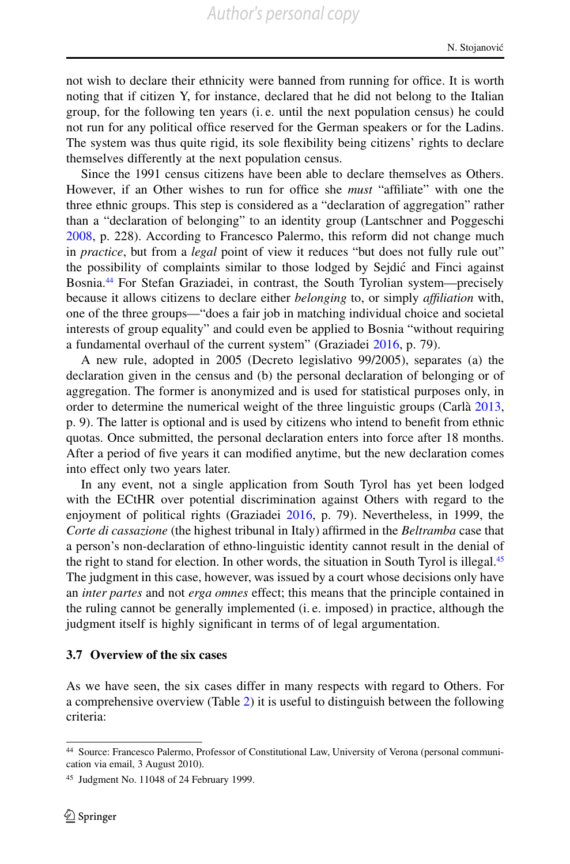not wish to declare their ethnicity were banned from running for office. It is worth noting that if citizen Y, for instance, declared that he did not belong to the Italian group, for the following ten years (i. e. until the next population census) he could not run for any political office reserved for the German speakers or for the Ladins. The system was thus quite rigid, its sole flexibility being citizens' rights to declare themselves differently at the next population census.

Since the 1991 census citizens have been able to declare themselves as Others. However, if an Other wishes to run for office she *must* "affiliate" with one the three ethnic groups. This step is considered as a "declaration of aggregation" rather than a "declaration of belonging" to an identity group (Lantschner and Poggeschi [2008,](#page-23-3) p. 228). According to Francesco Palermo, this reform did not change much in *practice*, but from a *legal* point of view it reduces "but does not fully rule out" the possibility of complaints similar to those lodged by Sejdic and Finci against ´ Bosnia[.44](#page-19-0) For Stefan Graziadei, in contrast, the South Tyrolian system—precisely because it allows citizens to declare either *belonging* to, or simply *affiliation* with, one of the three groups—"does a fair job in matching individual choice and societal interests of group equality" and could even be applied to Bosnia "without requiring a fundamental overhaul of the current system" (Graziadei [2016,](#page-23-2) p. 79).

A new rule, adopted in 2005 (Decreto legislativo 99/2005), separates (a) the declaration given in the census and (b) the personal declaration of belonging or of aggregation. The former is anonymized and is used for statistical purposes only, in order to determine the numerical weight of the three linguistic groups (Carlà [2013,](#page-23-28) p. 9). The latter is optional and is used by citizens who intend to benefit from ethnic quotas. Once submitted, the personal declaration enters into force after 18 months. After a period of five years it can modified anytime, but the new declaration comes into effect only two years later.

In any event, not a single application from South Tyrol has yet been lodged with the ECtHR over potential discrimination against Others with regard to the enjoyment of political rights (Graziadei [2016,](#page-23-2) p. 79). Nevertheless, in 1999, the *Corte di cassazione* (the highest tribunal in Italy) affirmed in the *Beltramba* case that a person's non-declaration of ethno-linguistic identity cannot result in the denial of the right to stand for election. In other words, the situation in South Tyrol is illegal.<sup>45</sup> The judgment in this case, however, was issued by a court whose decisions only have an *inter partes* and not *erga omnes* effect; this means that the principle contained in the ruling cannot be generally implemented (i. e. imposed) in practice, although the judgment itself is highly significant in terms of of legal argumentation.

#### **3.7 Overview of the six cases**

As we have seen, the six cases differ in many respects with regard to Others. For a comprehensive overview (Table [2\)](#page-20-0) it is useful to distinguish between the following criteria:

<span id="page-19-0"></span><sup>44</sup> Source: Francesco Palermo, Professor of Constitutional Law, University of Verona (personal communication via email, 3 August 2010).

<span id="page-19-1"></span><sup>45</sup> Judgment No. 11048 of 24 February 1999.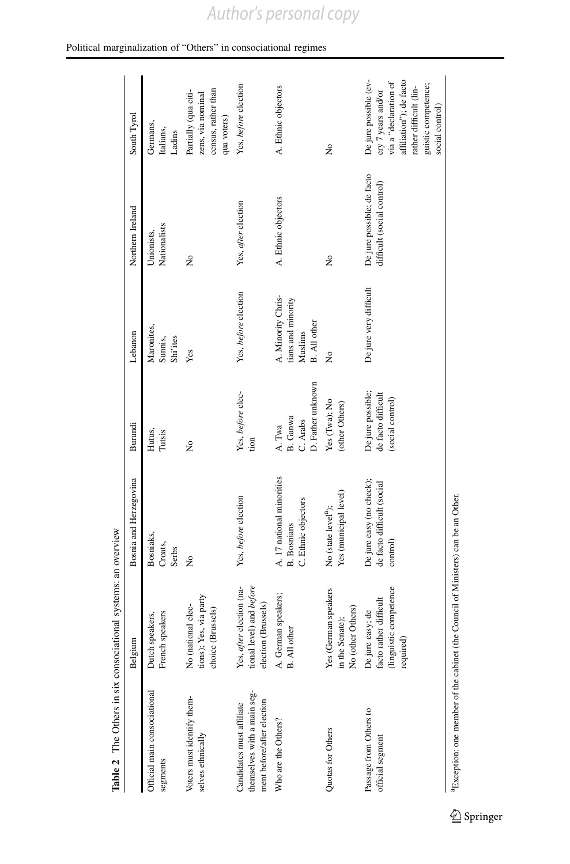| <b>Table 2</b> The Others in six consociational systems: an overview                          |                                                                                   |                                                                        |                                                             |                                                                     |                                                          |                                                                                                                                                                     |
|-----------------------------------------------------------------------------------------------|-----------------------------------------------------------------------------------|------------------------------------------------------------------------|-------------------------------------------------------------|---------------------------------------------------------------------|----------------------------------------------------------|---------------------------------------------------------------------------------------------------------------------------------------------------------------------|
|                                                                                               | Belgium                                                                           | Bosnia and Herzegovina                                                 | Burundi                                                     | Lebanon                                                             | Northern Ireland                                         | South Tyrol                                                                                                                                                         |
| Official main consociational<br>segments                                                      | French speakers<br>Dutch speakers,                                                | Bosniaks,<br>Croats,<br>Serbs                                          | Hutus,<br>Tutsis                                            | Maronites,<br>Shi'ites<br>Sunnis,                                   | Nationalists<br>Unionists,                               | Germans,<br>Italians,<br>Ladins                                                                                                                                     |
| Voters must identify them-<br>selves ethnically                                               | tions); Yes, via party<br>No (national elec-<br>choice (Brussels)                 | $\frac{1}{2}$                                                          | $\frac{1}{2}$                                               | Yes                                                                 | $\tilde{z}$                                              | census, rather than<br>Partially (qua citi-<br>zens, via nominal<br>qua voters)                                                                                     |
| themselves with a main seg-<br>ment before/after election<br>Candidates must affiliate        | Yes, after election (na-<br>tional level) and before<br>election (Brussels)       | Yes, before election                                                   | Yes, before elec-<br>tion                                   | Yes, before election                                                | Yes, after election                                      | Yes, before election                                                                                                                                                |
| Who are the Others?                                                                           | A. German speakers;<br>B. All other                                               | A. 17 national minorities<br>C. Ethnic objectors<br><b>B.</b> Bosnians | D. Father unknown<br>B. Ganwa<br>C. Arabs<br>A. Twa         | A. Minority Chris-<br>tians and minority<br>B. All other<br>Muslims | A. Ethnic objectors                                      | A. Ethnic objectors                                                                                                                                                 |
| Quotas for Others                                                                             | Yes (German speakers<br>No (other Others)<br>in the Senate);                      | Yes (municipal level)<br>No (state level <sup>a</sup> );               | Yes (Twa); No<br>(other Others)                             | ż                                                                   | $\tilde{z}$                                              | $\tilde{z}$                                                                                                                                                         |
| Passage from Others to<br>official segment                                                    | (linguistic competence<br>facto rather difficult<br>De jure easy; de<br>required) | De jure easy (no check);<br>de facto difficult (social<br>control)     | De jure possible;<br>de facto difficult<br>(social control) | De jure very difficult                                              | De jure possible; de facto<br>difficult (social control) | De jure possible (ev-<br>affiliation"); de facto<br>via a "declaration of<br>guistic competence;<br>rather difficult (lin-<br>ery 7 years and/or<br>social control) |
| <sup>a</sup> Exception: one member of the cabinet (the Council of Ministers) can be an Other. |                                                                                   |                                                                        |                                                             |                                                                     |                                                          |                                                                                                                                                                     |

<span id="page-20-0"></span> $\underline{\textcircled{\tiny 2}}$  Springer

### *Author's personal copy*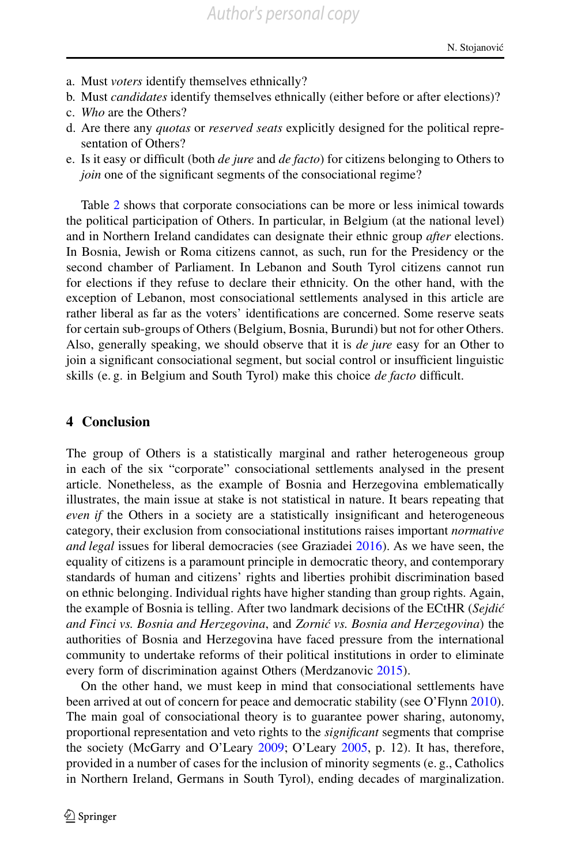- a. Must *voters* identify themselves ethnically?
- b. Must *candidates* identify themselves ethnically (either before or after elections)?
- c. *Who* are the Others?
- d. Are there any *quotas* or *reserved seats* explicitly designed for the political representation of Others?
- e. Is it easy or difficult (both *de jure* and *de facto*) for citizens belonging to Others to *join* one of the significant segments of the consociational regime?

Table [2](#page-20-0) shows that corporate consociations can be more or less inimical towards the political participation of Others. In particular, in Belgium (at the national level) and in Northern Ireland candidates can designate their ethnic group *after* elections. In Bosnia, Jewish or Roma citizens cannot, as such, run for the Presidency or the second chamber of Parliament. In Lebanon and South Tyrol citizens cannot run for elections if they refuse to declare their ethnicity. On the other hand, with the exception of Lebanon, most consociational settlements analysed in this article are rather liberal as far as the voters' identifications are concerned. Some reserve seats for certain sub-groups of Others (Belgium, Bosnia, Burundi) but not for other Others. Also, generally speaking, we should observe that it is *de jure* easy for an Other to join a significant consociational segment, but social control or insufficient linguistic skills (e. g. in Belgium and South Tyrol) make this choice *de facto* difficult.

#### **4 Conclusion**

The group of Others is a statistically marginal and rather heterogeneous group in each of the six "corporate" consociational settlements analysed in the present article. Nonetheless, as the example of Bosnia and Herzegovina emblematically illustrates, the main issue at stake is not statistical in nature. It bears repeating that *even if* the Others in a society are a statistically insignificant and heterogeneous category, their exclusion from consociational institutions raises important *normative and legal* issues for liberal democracies (see Graziadei [2016\)](#page-23-2). As we have seen, the equality of citizens is a paramount principle in democratic theory, and contemporary standards of human and citizens' rights and liberties prohibit discrimination based on ethnic belonging. Individual rights have higher standing than group rights. Again, the example of Bosnia is telling. After two landmark decisions of the ECtHR (*Sejdi´c and Finci vs. Bosnia and Herzegovina*, and *Zorni´c vs. Bosnia and Herzegovina*) the authorities of Bosnia and Herzegovina have faced pressure from the international community to undertake reforms of their political institutions in order to eliminate every form of discrimination against Others (Merdzanovic [2015\)](#page-24-18).

On the other hand, we must keep in mind that consociational settlements have been arrived at out of concern for peace and democratic stability (see O'Flynn [2010\)](#page-24-7). The main goal of consociational theory is to guarantee power sharing, autonomy, proportional representation and veto rights to the *significant* segments that comprise the society (McGarry and O'Leary [2009;](#page-24-2) O'Leary [2005,](#page-24-3) p. 12). It has, therefore, provided in a number of cases for the inclusion of minority segments (e. g., Catholics in Northern Ireland, Germans in South Tyrol), ending decades of marginalization.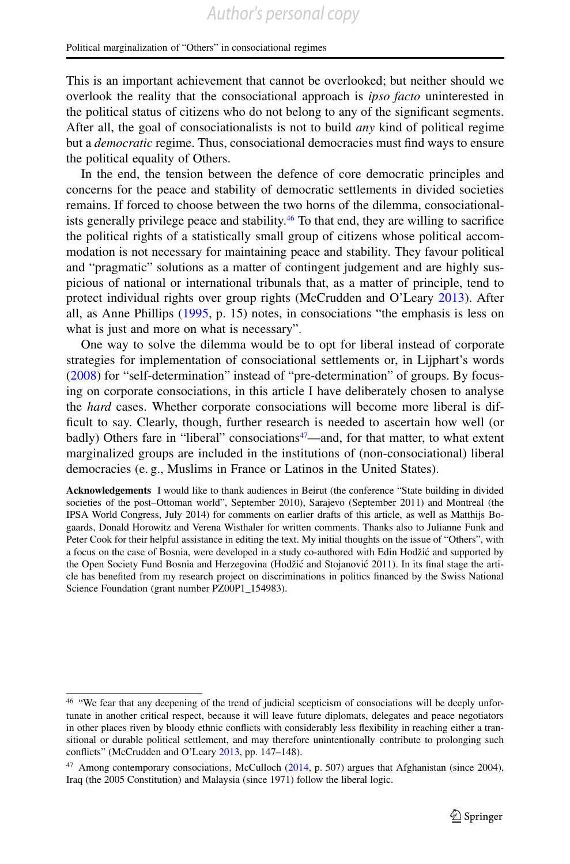#### Political marginalization of "Others" in consociational regimes

This is an important achievement that cannot be overlooked; but neither should we overlook the reality that the consociational approach is *ipso facto* uninterested in the political status of citizens who do not belong to any of the significant segments. After all, the goal of consociationalists is not to build *any* kind of political regime but a *democratic* regime. Thus, consociational democracies must find ways to ensure the political equality of Others.

In the end, the tension between the defence of core democratic principles and concerns for the peace and stability of democratic settlements in divided societies remains. If forced to choose between the two horns of the dilemma, consociationalists generally privilege peace and stability.<sup>46</sup> To that end, they are willing to sacrifice the political rights of a statistically small group of citizens whose political accommodation is not necessary for maintaining peace and stability. They favour political and "pragmatic" solutions as a matter of contingent judgement and are highly suspicious of national or international tribunals that, as a matter of principle, tend to protect individual rights over group rights (McCrudden and O'Leary [2013\)](#page-24-6). After all, as Anne Phillips [\(1995,](#page-24-26) p. 15) notes, in consociations "the emphasis is less on what is just and more on what is necessary".

One way to solve the dilemma would be to opt for liberal instead of corporate strategies for implementation of consociational settlements or, in Lijphart's words [\(2008\)](#page-24-12) for "self-determination" instead of "pre-determination" of groups. By focusing on corporate consociations, in this article I have deliberately chosen to analyse the *hard* cases. Whether corporate consociations will become more liberal is difficult to say. Clearly, though, further research is needed to ascertain how well (or badly) Others fare in "liberal" consociations<sup>47</sup>—and, for that matter, to what extent marginalized groups are included in the institutions of (non-consociational) liberal democracies (e. g., Muslims in France or Latinos in the United States).

**Acknowledgements** I would like to thank audiences in Beirut (the conference "State building in divided societies of the post–Ottoman world", September 2010), Sarajevo (September 2011) and Montreal (the IPSA World Congress, July 2014) for comments on earlier drafts of this article, as well as Matthijs Bogaards, Donald Horowitz and Verena Wisthaler for written comments. Thanks also to Julianne Funk and Peter Cook for their helpful assistance in editing the text. My initial thoughts on the issue of "Others", with a focus on the case of Bosnia, were developed in a study co-authored with Edin Hodžic and supported by ´ the Open Society Fund Bosnia and Herzegovina (Hodžić and Stojanović 2011). In its final stage the article has benefited from my research project on discriminations in politics financed by the Swiss National Science Foundation (grant number PZ00P1 154983).

<span id="page-22-0"></span><sup>46</sup> "We fear that any deepening of the trend of judicial scepticism of consociations will be deeply unfortunate in another critical respect, because it will leave future diplomats, delegates and peace negotiators in other places riven by bloody ethnic conflicts with considerably less flexibility in reaching either a transitional or durable political settlement, and may therefore unintentionally contribute to prolonging such conflicts" (McCrudden and O'Leary [2013,](#page-24-6) pp. 147–148).

<span id="page-22-1"></span><sup>&</sup>lt;sup>47</sup> Among contemporary consociations, McCulloch [\(2014,](#page-24-16) p. 507) argues that Afghanistan (since 2004), Iraq (the 2005 Constitution) and Malaysia (since 1971) follow the liberal logic.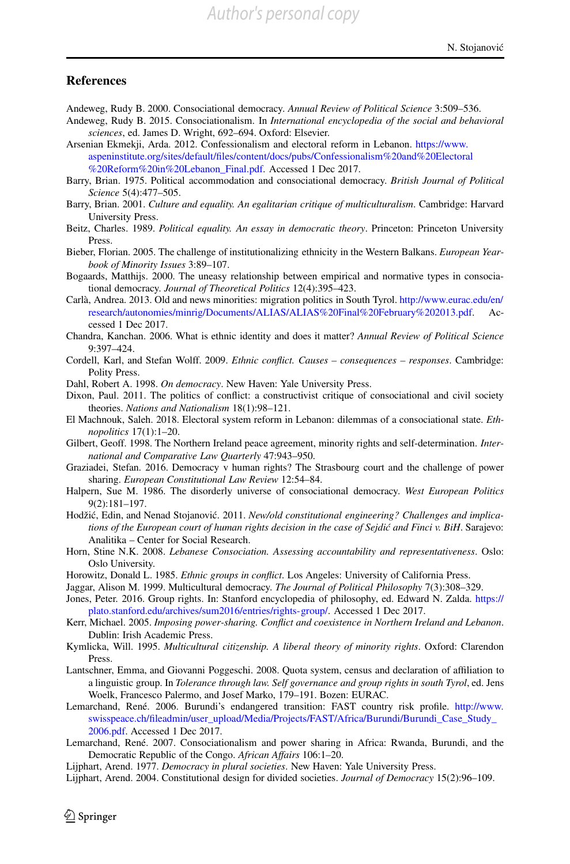#### **References**

- <span id="page-23-8"></span><span id="page-23-7"></span>Andeweg, Rudy B. 2000. Consociational democracy. *Annual Review of Political Science* 3:509–536.
- <span id="page-23-26"></span>Andeweg, Rudy B. 2015. Consociationalism. In *International encyclopedia of the social and behavioral sciences*, ed. James D. Wright, 692–694. Oxford: Elsevier.
- Arsenian Ekmekji, Arda. 2012. Confessionalism and electoral reform in Lebanon. [https://www.](https://www.aspeninstitute.org/sites/default/files/content/docs/pubs/Confessionalism%20and%20Electoral%20Reform%20in%20Lebanon_Final.pdf) [aspeninstitute.org/sites/default/files/content/docs/pubs/Confessionalism%20and%20Electoral](https://www.aspeninstitute.org/sites/default/files/content/docs/pubs/Confessionalism%20and%20Electoral%20Reform%20in%20Lebanon_Final.pdf) [%20Reform%20in%20Lebanon\\_Final.pdf.](https://www.aspeninstitute.org/sites/default/files/content/docs/pubs/Confessionalism%20and%20Electoral%20Reform%20in%20Lebanon_Final.pdf) Accessed 1 Dec 2017.
- <span id="page-23-17"></span><span id="page-23-14"></span>Barry, Brian. 1975. Political accommodation and consociational democracy. *British Journal of Political Science* 5(4):477–505.
- <span id="page-23-0"></span>Barry, Brian. 2001. *Culture and equality. An egalitarian critique of multiculturalism*. Cambridge: Harvard University Press.
- <span id="page-23-20"></span>Beitz, Charles. 1989. *Political equality. An essay in democratic theory*. Princeton: Princeton University Press.
- <span id="page-23-9"></span>Bieber, Florian. 2005. The challenge of institutionalizing ethnicity in the Western Balkans. *European Yearbook of Minority Issues* 3:89–107.
- <span id="page-23-28"></span>Bogaards, Matthijs. 2000. The uneasy relationship between empirical and normative types in consociational democracy. *Journal of Theoretical Politics* 12(4):395–423.
- Carlà, Andrea. 2013. Old and news minorities: migration politics in South Tyrol. [http://www.eurac.edu/en/](http://www.eurac.edu/en/research/autonomies/minrig/Documents/ALIAS/ALIAS%20Final%20February%202013.pdf) [research/autonomies/minrig/Documents/ALIAS/ALIAS%20Final%20February%202013.pdf.](http://www.eurac.edu/en/research/autonomies/minrig/Documents/ALIAS/ALIAS%20Final%20February%202013.pdf) Accessed 1 Dec 2017.
- <span id="page-23-19"></span><span id="page-23-18"></span>Chandra, Kanchan. 2006. What is ethnic identity and does it matter? *Annual Review of Political Science* 9:397–424.
- <span id="page-23-1"></span>Cordell, Karl, and Stefan Wolff. 2009. *Ethnic conflict. Causes – consequences – responses*. Cambridge: Polity Press.
- <span id="page-23-10"></span>Dahl, Robert A. 1998. *On democracy*. New Haven: Yale University Press.

<span id="page-23-25"></span>Dixon, Paul. 2011. The politics of conflict: a constructivist critique of consociational and civil society theories. *Nations and Nationalism* 18(1):98–121.

- <span id="page-23-27"></span>El Machnouk, Saleh. 2018. Electoral system reform in Lebanon: dilemmas of a consociational state. *Ethnopolitics* 17(1):1–20.
- Gilbert, Geoff. 1998. The Northern Ireland peace agreement, minority rights and self-determination. *International and Comparative Law Quarterly* 47:943–950.
- <span id="page-23-2"></span>Graziadei, Stefan. 2016. Democracy v human rights? The Strasbourg court and the challenge of power sharing. *European Constitutional Law Review* 12:54–84.
- <span id="page-23-11"></span>Halpern, Sue M. 1986. The disorderly universe of consociational democracy. *West European Politics* 9(2):181–197.
- <span id="page-23-4"></span>Hodžić, Edin, and Nenad Stojanović. 2011. *New/old constitutional engineering? Challenges and implications of the European court of human rights decision in the case of Sejdić and Finci v. BiH.* Sarajevo: Analitika – Center for Social Research.
- <span id="page-23-24"></span><span id="page-23-16"></span>Horn, Stine N.K. 2008. *Lebanese Consociation. Assessing accountability and representativeness*. Oslo: Oslo University.
- <span id="page-23-15"></span>Horowitz, Donald L. 1985. *Ethnic groups in conflict*. Los Angeles: University of California Press.
- <span id="page-23-12"></span>Jaggar, Alison M. 1999. Multicultural democracy. *The Journal of Political Philosophy* 7(3):308–329.
- Jones, Peter. 2016. Group rights. In: Stanford encyclopedia of philosophy, ed. Edward N. Zalda. [https://](https://plato.stanford.edu/archives/sum2016/entries/rights-group/) [plato.stanford.edu/archives/sum2016/entries/rights-group/.](https://plato.stanford.edu/archives/sum2016/entries/rights-group/) Accessed 1 Dec 2017.
- <span id="page-23-23"></span>Kerr, Michael. 2005. *Imposing power-sharing. Conflict and coexistence in Northern Ireland and Lebanon*. Dublin: Irish Academic Press.
- <span id="page-23-13"></span>Kymlicka, Will. 1995. *Multicultural citizenship. A liberal theory of minority rights*. Oxford: Clarendon Press.
- <span id="page-23-3"></span>Lantschner, Emma, and Giovanni Poggeschi. 2008. Quota system, census and declaration of affiliation to a linguistic group. In *Tolerance through law. Self governance and group rights in south Tyrol*, ed. Jens Woelk, Francesco Palermo, and Josef Marko, 179–191. Bozen: EURAC.
- <span id="page-23-22"></span>Lemarchand, René. 2006. Burundi's endangered transition: FAST country risk profile. [http://www.](http://www.swisspeace.ch/fileadmin/user_upload/Media/Projects/FAST/Africa/Burundi/Burundi_Case_Study_2006.pdf) [swisspeace.ch/fileadmin/user\\_upload/Media/Projects/FAST/Africa/Burundi/Burundi\\_Case\\_Study\\_](http://www.swisspeace.ch/fileadmin/user_upload/Media/Projects/FAST/Africa/Burundi/Burundi_Case_Study_2006.pdf) [2006.pdf.](http://www.swisspeace.ch/fileadmin/user_upload/Media/Projects/FAST/Africa/Burundi/Burundi_Case_Study_2006.pdf) Accessed 1 Dec 2017.
- <span id="page-23-21"></span>Lemarchand, René. 2007. Consociationalism and power sharing in Africa: Rwanda, Burundi, and the Democratic Republic of the Congo. *African Affairs* 106:1–20.
- <span id="page-23-6"></span><span id="page-23-5"></span>Lijphart, Arend. 1977. *Democracy in plural societies*. New Haven: Yale University Press.

Lijphart, Arend. 2004. Constitutional design for divided societies. *Journal of Democracy* 15(2):96–109.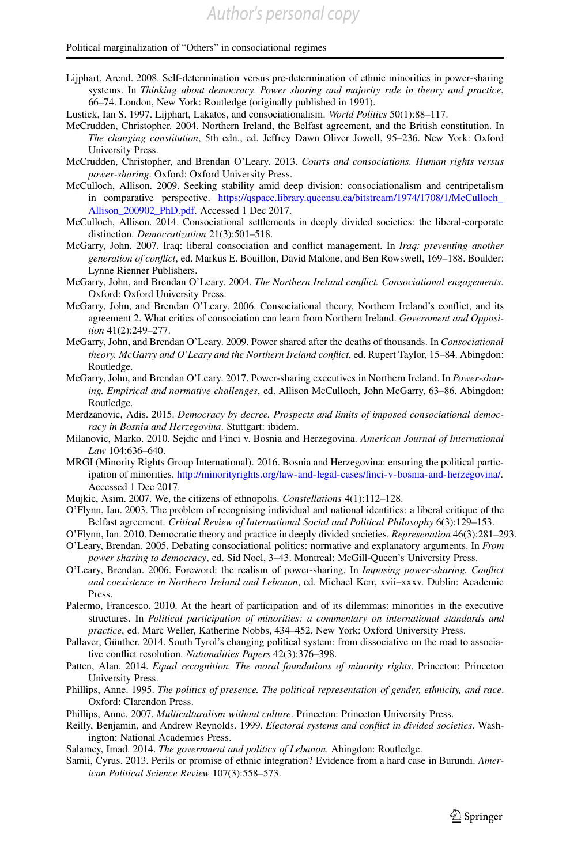#### Political marginalization of "Others" in consociational regimes

- <span id="page-24-12"></span>Lijphart, Arend. 2008. Self-determination versus pre-determination of ethnic minorities in power-sharing systems. In *Thinking about democracy. Power sharing and majority rule in theory and practice*, 66–74. London, New York: Routledge (originally published in 1991).
- <span id="page-24-25"></span><span id="page-24-5"></span>Lustick, Ian S. 1997. Lijphart, Lakatos, and consociationalism. *World Politics* 50(1):88–117.
- McCrudden, Christopher. 2004. Northern Ireland, the Belfast agreement, and the British constitution. In *The changing constitution*, 5th edn., ed. Jeffrey Dawn Oliver Jowell, 95–236. New York: Oxford University Press.
- <span id="page-24-19"></span><span id="page-24-6"></span>McCrudden, Christopher, and Brendan O'Leary. 2013. *Courts and consociations. Human rights versus power-sharing*. Oxford: Oxford University Press.
- McCulloch, Allison. 2009. Seeking stability amid deep division: consociationalism and centripetalism in comparative perspective. [https://qspace.library.queensu.ca/bitstream/1974/1708/1/McCulloch\\_](https://qspace.library.queensu.ca/bitstream/1974/1708/1/McCulloch_Allison_200902_PhD.pdf) [Allison\\_200902\\_PhD.pdf.](https://qspace.library.queensu.ca/bitstream/1974/1708/1/McCulloch_Allison_200902_PhD.pdf) Accessed 1 Dec 2017.
- <span id="page-24-16"></span>McCulloch, Allison. 2014. Consociational settlements in deeply divided societies: the liberal-corporate distinction. *Democratization* 21(3):501–518.
- <span id="page-24-15"></span>McGarry, John. 2007. Iraq: liberal consociation and conflict management. In *Iraq: preventing another generation of conflict*, ed. Markus E. Bouillon, David Malone, and Ben Rowswell, 169–188. Boulder: Lynne Rienner Publishers.
- <span id="page-24-23"></span>McGarry, John, and Brendan O'Leary. 2004. *The Northern Ireland conflict. Consociational engagements*. Oxford: Oxford University Press.
- <span id="page-24-17"></span>McGarry, John, and Brendan O'Leary. 2006. Consociational theory, Northern Ireland's conflict, and its agreement 2. What critics of consociation can learn from Northern Ireland. *Government and Opposition* 41(2):249–277.
- <span id="page-24-2"></span>McGarry, John, and Brendan O'Leary. 2009. Power shared after the deaths of thousands. In *Consociational theory. McGarry and O'Leary and the Northern Ireland conflict*, ed. Rupert Taylor, 15–84. Abingdon: Routledge.
- <span id="page-24-24"></span>McGarry, John, and Brendan O'Leary. 2017. Power-sharing executives in Northern Ireland. In *Power-sharing. Empirical and normative challenges*, ed. Allison McCulloch, John McGarry, 63–86. Abingdon: Routledge.
- <span id="page-24-18"></span>Merdzanovic, Adis. 2015. *Democracy by decree. Prospects and limits of imposed consociational democracy in Bosnia and Herzegovina*. Stuttgart: ibidem.
- <span id="page-24-8"></span><span id="page-24-1"></span>Milanovic, Marko. 2010. Sejdic and Finci v. Bosnia and Herzegovina. *American Journal of International Law* 104:636–640.
- MRGI (Minority Rights Group International). 2016. Bosnia and Herzegovina: ensuring the political participation of minorities. [http://minorityrights.org/law-and-legal-cases/finci-v-bosnia-and-herzegovina/.](http://minorityrights.org/law-and-legal-cases/finci-v-bosnia-and-herzegovina/) Accessed 1 Dec 2017.
- <span id="page-24-14"></span><span id="page-24-13"></span>Mujkic, Asim. 2007. We, the citizens of ethnopolis. *Constellations* 4(1):112–128.
- O'Flynn, Ian. 2003. The problem of recognising individual and national identities: a liberal critique of the Belfast agreement. *Critical Review of International Social and Political Philosophy* 6(3):129–153.
- <span id="page-24-7"></span><span id="page-24-3"></span>O'Flynn, Ian. 2010. Democratic theory and practice in deeply divided societies. *Represenation* 46(3):281–293. O'Leary, Brendan. 2005. Debating consociational politics: normative and explanatory arguments. In *From*
- <span id="page-24-4"></span>*power sharing to democracy*, ed. Sid Noel, 3–43. Montreal: McGill-Queen's University Press. O'Leary, Brendan. 2006. Foreword: the realism of power-sharing. In *Imposing power-sharing. Conflict and coexistence in Northern Ireland and Lebanon*, ed. Michael Kerr, xvii–xxxv. Dublin: Academic Press.
- <span id="page-24-22"></span>Palermo, Francesco. 2010. At the heart of participation and of its dilemmas: minorities in the executive structures. In *Political participation of minorities: a commentary on international standards and practice*, ed. Marc Weller, Katherine Nobbs, 434–452. New York: Oxford University Press.
- <span id="page-24-0"></span>Pallaver, Günther. 2014. South Tyrol's changing political system: from dissociative on the road to associative conflict resolution. *Nationalities Papers* 42(3):376–398.
- <span id="page-24-10"></span>Patten, Alan. 2014. *Equal recognition. The moral foundations of minority rights*. Princeton: Princeton University Press.
- <span id="page-24-26"></span>Phillips, Anne. 1995. *The politics of presence. The political representation of gender, ethnicity, and race*. Oxford: Clarendon Press.
- <span id="page-24-11"></span><span id="page-24-9"></span>Phillips, Anne. 2007. *Multiculturalism without culture*. Princeton: Princeton University Press.
- Reilly, Benjamin, and Andrew Reynolds. 1999. *Electoral systems and conflict in divided societies*. Washington: National Academies Press.
- <span id="page-24-21"></span><span id="page-24-20"></span>Salamey, Imad. 2014. *The government and politics of Lebanon*. Abingdon: Routledge.
- Samii, Cyrus. 2013. Perils or promise of ethnic integration? Evidence from a hard case in Burundi. *American Political Science Review* 107(3):558–573.